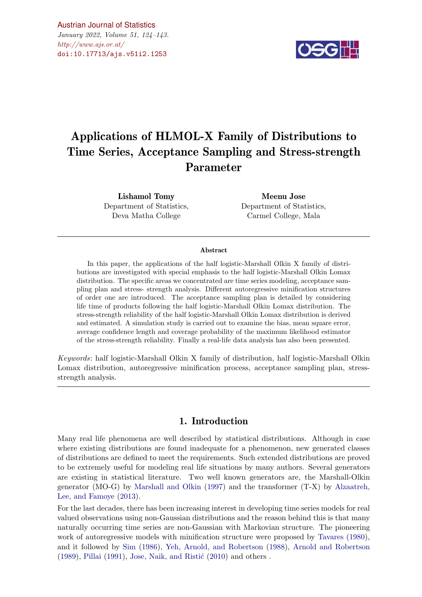

# Applications of HLMOL-X Family of Distributions to Time Series, Acceptance Sampling and Stress-strength Parameter

Lishamol Tomy Department of Statistics, Deva Matha College

Meenu Jose Department of Statistics, Carmel College, Mala

#### Abstract

In this paper, the applications of the half logistic-Marshall Olkin X family of distributions are investigated with special emphasis to the half logistic-Marshall Olkin Lomax distribution. The specific areas we concentrated are time series modeling, acceptance sampling plan and stress- strength analysis. Different autoregressive minification structures of order one are introduced. The acceptance sampling plan is detailed by considering life time of products following the half logistic-Marshall Olkin Lomax distribution. The stress-strength reliability of the half logistic-Marshall Olkin Lomax distribution is derived and estimated. A simulation study is carried out to examine the bias, mean square error, average confidence length and coverage probability of the maximum likelihood estimator of the stress-strength reliability. Finally a real-life data analysis has also been presented.

Keywords: half logistic-Marshall Olkin X family of distribution, half logistic-Marshall Olkin Lomax distribution, autoregressive minification process, acceptance sampling plan, stressstrength analysis.

# 1. Introduction

Many real life phenomena are well described by statistical distributions. Although in case where existing distributions are found inadequate for a phenomenon, new generated classes of distributions are defined to meet the requirements. Such extended distributions are proved to be extremely useful for modeling real life situations by many authors. Several generators are existing in statistical literature. Two well known generators are, the Marshall-Olkin generator (MO-G) by [Marshall and Olkin](#page-18-0) [\(1997\)](#page-18-0) and the transformer (T-X) by [Alzaatreh,](#page-18-1) [Lee, and Famoye](#page-18-1) [\(2013\)](#page-18-1).

For the last decades, there has been increasing interest in developing time series models for real valued observations using non-Gaussian distributions and the reason behind this is that many naturally occurring time series are non-Gaussian with Markovian structure. The pioneering work of autoregressive models with minification structure were proposed by [Tavares](#page-19-0) [\(1980\)](#page-19-0), and it followed by [Sim](#page-19-1) [\(1986\)](#page-19-1), [Yeh, Arnold, and Robertson](#page-19-2) [\(1988\)](#page-19-2), [Arnold and Robertson](#page-18-2)  $(1989)$ , [Pillai](#page-18-3)  $(1991)$ , Jose, Naik, and Ristić  $(2010)$  and others.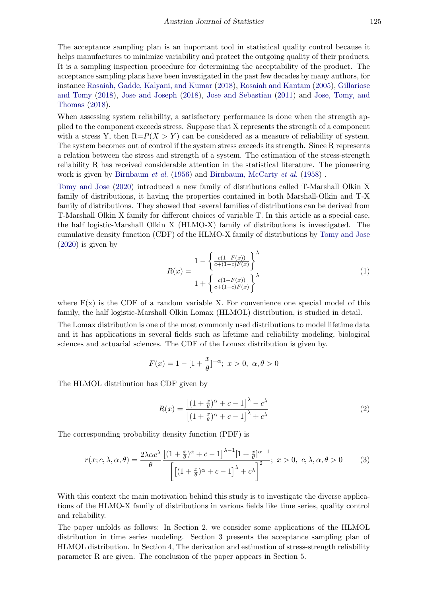The acceptance sampling plan is an important tool in statistical quality control because it helps manufactures to minimize variability and protect the outgoing quality of their products. It is a sampling inspection procedure for determining the acceptability of the product. The acceptance sampling plans have been investigated in the past few decades by many authors, for instance [Rosaiah, Gadde, Kalyani, and Kumar](#page-18-5) [\(2018\)](#page-18-5), [Rosaiah and Kantam](#page-18-6) [\(2005\)](#page-18-6), [Gillariose](#page-18-7) [and Tomy](#page-18-7) [\(2018\)](#page-18-7), [Jose and Joseph](#page-18-8) [\(2018\)](#page-18-8), [Jose and Sebastian](#page-18-9) [\(2011\)](#page-18-9) and [Jose, Tomy, and](#page-18-10) [Thomas](#page-18-10) [\(2018\)](#page-18-10).

When assessing system reliability, a satisfactory performance is done when the strength applied to the component exceeds stress. Suppose that X represents the strength of a component with a stress Y, then  $R=P(X > Y)$  can be considered as a measure of reliability of system. The system becomes out of control if the system stress exceeds its strength. Since R represents a relation between the stress and strength of a system. The estimation of the stress-strength reliability R has received considerable attention in the statistical literature. The pioneering work is given by [Birnbaum](#page-18-11) *et al.* [\(1956\)](#page-18-11) and [Birnbaum, McCarty](#page-18-12) *et al.* [\(1958\)](#page-18-12).

[Tomy and Jose](#page-19-3) [\(2020\)](#page-19-3) introduced a new family of distributions called T-Marshall Olkin X family of distributions, it having the properties contained in both Marshall-Olkin and T-X family of distributions. They showed that several families of distributions can be derived from T-Marshall Olkin X family for different choices of variable T. In this article as a special case, the half logistic-Marshall Olkin X (HLMO-X) family of distributions is investigated. The cumulative density function (CDF) of the HLMO-X family of distributions by [Tomy and Jose](#page-19-3) [\(2020\)](#page-19-3) is given by

$$
R(x) = \frac{1 - \left\{ \frac{c(1 - F(x))}{c + (1 - c)F(x)} \right\}^{\lambda}}{1 + \left\{ \frac{c(1 - F(x))}{c + (1 - c)F(x)} \right\}^{\lambda}}
$$
(1)

where  $F(x)$  is the CDF of a random variable X. For convenience one special model of this family, the half logistic-Marshall Olkin Lomax (HLMOL) distribution, is studied in detail.

The Lomax distribution is one of the most commonly used distributions to model lifetime data and it has applications in several fields such as lifetime and reliability modeling, biological sciences and actuarial sciences. The CDF of the Lomax distribution is given by.

$$
F(x) = 1 - [1 + \frac{x}{\theta}]^{-\alpha}; \ x > 0, \ \alpha, \theta > 0
$$

The HLMOL distribution has CDF given by

$$
R(x) = \frac{\left[ (1 + \frac{x}{\theta})^{\alpha} + c - 1 \right]^{\lambda} - c^{\lambda}}{\left[ (1 + \frac{x}{\theta})^{\alpha} + c - 1 \right]^{\lambda} + c^{\lambda}}
$$
\n(2)

The corresponding probability density function (PDF) is

$$
r(x; c, \lambda, \alpha, \theta) = \frac{2\lambda\alpha c^{\lambda}}{\theta} \frac{\left[ (1 + \frac{x}{\theta})^{\alpha} + c - 1 \right]^{\lambda - 1} [1 + \frac{x}{\theta}]^{\alpha - 1}}{\left[ \left[ (1 + \frac{x}{\theta})^{\alpha} + c - 1 \right]^{\lambda} + c^{\lambda} \right]^2}; \ x > 0, \ c, \lambda, \alpha, \theta > 0 \tag{3}
$$

With this context the main motivation behind this study is to investigate the diverse applications of the HLMO-X family of distributions in various fields like time series, quality control and reliability.

The paper unfolds as follows: In Section 2, we consider some applications of the HLMOL distribution in time series modeling. Section 3 presents the acceptance sampling plan of HLMOL distribution. In Section 4, The derivation and estimation of stress-strength reliability parameter R are given. The conclusion of the paper appears in Section 5.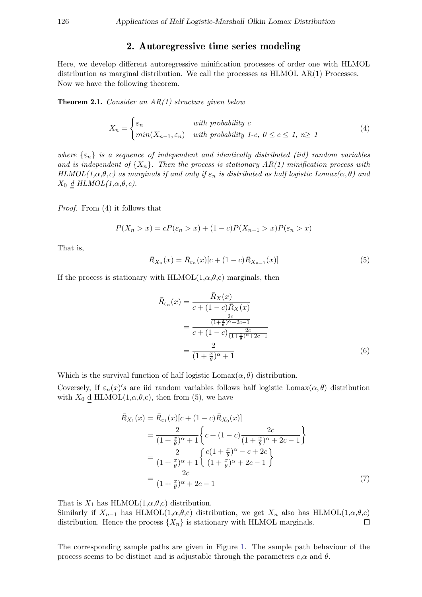# 2. Autoregressive time series modeling

Here, we develop different autoregressive minification processes of order one with HLMOL distribution as marginal distribution. We call the processes as HLMOL AR(1) Processes. Now we have the following theorem.

**Theorem 2.1.** Consider an  $AR(1)$  structure given below

$$
X_n = \begin{cases} \varepsilon_n & \text{with probability } c \\ \min(X_{n-1}, \varepsilon_n) & \text{with probability } 1-c, \ 0 \le c \le 1, \ n \ge 1 \end{cases} \tag{4}
$$

where  $\{\varepsilon_n\}$  is a sequence of independent and identically distributed (iid) random variables and is independent of  ${X_n}$ . Then the process is stationary  $AR(1)$  minification process with HLMOL(1, $\alpha, \theta, c$ ) as marginals if and only if  $\varepsilon_n$  is distributed as half logistic Lomax( $\alpha, \theta$ ) and  $X_0 \underline{d} H L MOL(1,\alpha,\theta,c).$ 

Proof. From (4) it follows that

$$
P(X_n > x) = cP(\varepsilon_n > x) + (1 - c)P(X_{n-1} > x)P(\varepsilon_n > x)
$$

That is,

$$
\bar{R}_{X_n}(x) = \bar{R}_{\varepsilon_n}(x)[c + (1 - c)\bar{R}_{X_{n-1}}(x)]
$$
\n(5)

If the process is stationary with HLMOL $(1,\alpha,\theta,c)$  marginals, then

$$
\bar{R}_{\varepsilon_n}(x) = \frac{\bar{R}_X(x)}{c + (1 - c)\bar{R}_X(x)}
$$
\n
$$
= \frac{\frac{2c}{(1 + \frac{x}{\theta})^{\alpha} + 2c - 1}}{c + (1 - c)\frac{2c}{(1 + \frac{x}{\theta})^{\alpha} + 2c - 1}}
$$
\n
$$
= \frac{2}{(1 + \frac{x}{\theta})^{\alpha} + 1}
$$
\n(6)

Which is the survival function of half logistic  $\text{Lomax}(\alpha, \theta)$  distribution.

Coversely, If  $\varepsilon_n(x)'s$  are iid random variables follows half logistic Lomax $(\alpha, \theta)$  distribution with  $X_0 \underline{d}$  HLMOL $(1, \alpha, \theta, c)$ , then from (5), we have

$$
\bar{R}_{X_1}(x) = \bar{R}_{\varepsilon_1}(x)[c + (1 - c)\bar{R}_{X_0}(x)]
$$
\n
$$
= \frac{2}{(1 + \frac{x}{\theta})^{\alpha} + 1} \left\{ c + (1 - c)\frac{2c}{(1 + \frac{x}{\theta})^{\alpha} + 2c - 1} \right\}
$$
\n
$$
= \frac{2}{(1 + \frac{x}{\theta})^{\alpha} + 1} \left\{ \frac{c(1 + \frac{x}{\theta})^{\alpha} - c + 2c}{(1 + \frac{x}{\theta})^{\alpha} + 2c - 1} \right\}
$$
\n
$$
= \frac{2c}{(1 + \frac{x}{\theta})^{\alpha} + 2c - 1} \tag{7}
$$

That is  $X_1$  has HLMOL $(1, \alpha, \theta, c)$  distribution.

Similarly if  $X_{n-1}$  has HLMOL(1, $\alpha, \theta, c$ ) distribution, we get  $X_n$  also has HLMOL(1, $\alpha, \theta, c$ ) distribution. Hence the process  $\{X_n\}$  is stationary with HLMOL marginals.  $\Box$ 

The corresponding sample paths are given in Figure [1.](#page-3-0) The sample path behaviour of the process seems to be distinct and is adjustable through the parameters c, $\alpha$  and  $\theta$ .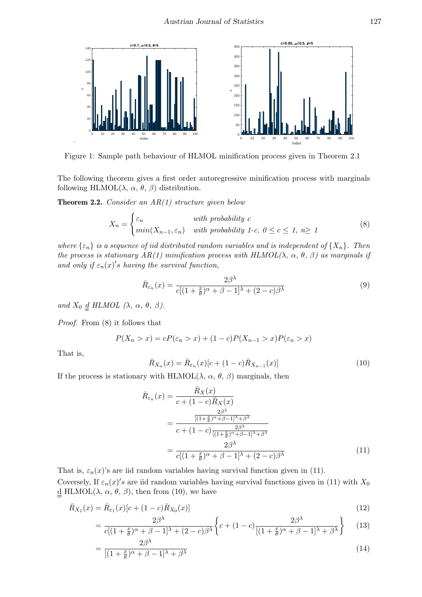<span id="page-3-0"></span>

Figure 1: Sample path behaviour of HLMOL minification process given in Theorem 2.1

The following theorem gives a first order autoregressive minification process with marginals following HLMOL( $\lambda$ ,  $\alpha$ ,  $\theta$ ,  $\beta$ ) distribution.

**Theorem 2.2.** Consider an  $AR(1)$  structure given below

$$
X_n = \begin{cases} \varepsilon_n & \text{with probability } c \\ \min(X_{n-1}, \varepsilon_n) & \text{with probability } 1-c, \ 0 \le c \le 1, \ n \ge 1 \end{cases} \tag{8}
$$

where  $\{\varepsilon_n\}$  is a sequence of iid distributed random variables and is independent of  $\{X_n\}$ . Then the process is stationary  $AR(1)$  minification process with  $HLMOL(\lambda, \alpha, \theta, \beta)$  as marginals if and only if  $\varepsilon_n(x)'$ s having the survival function,

$$
\bar{R}_{\varepsilon_n}(x) = \frac{2\beta^{\lambda}}{c[(1+\frac{x}{\theta})^{\alpha} + \beta - 1]^{\lambda} + (2-c)\beta^{\lambda}}
$$
\n(9)

and  $X_0 \underline{d}$  HLMOL  $(\lambda, \alpha, \theta, \beta)$ .

Proof. From (8) it follows that

$$
P(X_n > x) = cP(\varepsilon_n > x) + (1 - c)P(X_{n-1} > x)P(\varepsilon_n > x)
$$

That is,

$$
\bar{R}_{X_n}(x) = \bar{R}_{\varepsilon_n}(x)[c + (1 - c)\bar{R}_{X_{n-1}}(x)]
$$
\n(10)

If the process is stationary with HLMOL( $\lambda$ ,  $\alpha$ ,  $\theta$ ,  $\beta$ ) marginals, then

$$
\bar{R}_{\varepsilon_n}(x) = \frac{\bar{R}_X(x)}{c + (1 - c)\bar{R}_X(x)}
$$
\n
$$
= \frac{\frac{2\beta^{\lambda}}{\left[(1 + \frac{x}{\theta})^{\alpha} + \beta - 1\right]^{\lambda} + \beta^{\lambda}}}{c + (1 - c)\frac{2\beta^{\lambda}}{\left[(1 + \frac{x}{\theta})^{\alpha} + \beta - 1\right]^{\lambda} + \beta^{\lambda}}}
$$
\n
$$
= \frac{2\beta^{\lambda}}{c\left[(1 + \frac{x}{\theta})^{\alpha} + \beta - 1\right]^{\lambda} + (2 - c)\beta^{\lambda}}
$$
\n(11)

That is,  $\varepsilon_n(x)$ 's are iid random variables having survival function given in (11). Coversely, If  $\varepsilon_n(x)'s$  are iid random variables having survival functions given in (11) with  $X_0$ <u>d</u> HLMOL( $λ$ ,  $α$ ,  $θ$ ,  $β$ ), then from (10), we have

$$
\bar{R}_{X_1}(x) = \bar{R}_{\varepsilon_1}(x)[c + (1 - c)\bar{R}_{X_0}(x)]
$$
\n(12)

$$
= \frac{2\beta^{\lambda}}{c[(1+\frac{x}{\theta})^{\alpha}+\beta-1]^{\lambda}+(2-c)\beta^{\lambda}} \left\{ c+(1-c)\frac{2\beta^{\lambda}}{[(1+\frac{x}{\theta})^{\alpha}+\beta-1]^{\lambda}+\beta^{\lambda}} \right\}
$$
(13)

$$
=\frac{2\beta^{\lambda}}{[(1+\frac{x}{\theta})^{\alpha}+\beta-1]^{\lambda}+\beta^{\lambda}}
$$
\n(14)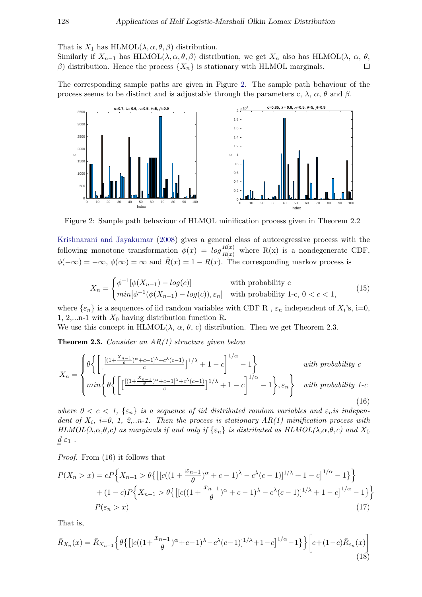That is  $X_1$  has HLMOL $(\lambda, \alpha, \theta, \beta)$  distribution.

Similarly if  $X_{n-1}$  has HLMOL( $\lambda, \alpha, \theta, \beta$ ) distribution, we get  $X_n$  also has HLMOL( $\lambda, \alpha, \theta, \theta$  $\Box$ β) distribution. Hence the process  $\{X_n\}$  is stationary with HLMOL marginals.

The corresponding sample paths are given in Figure [2.](#page-4-0) The sample path behaviour of the process seems to be distinct and is adjustable through the parameters c,  $\lambda$ ,  $\alpha$ ,  $\theta$  and  $\beta$ .

<span id="page-4-0"></span>

Figure 2: Sample path behaviour of HLMOL minification process given in Theorem 2.2

[Krishnarani and Jayakumar](#page-18-13) [\(2008\)](#page-18-13) gives a general class of autoregressive process with the following monotone transformation  $\phi(x) = log \frac{R(x)}{R(x)}$  where R(x) is a nondegenerate CDF,  $\phi(-\infty) = -\infty$ ,  $\phi(\infty) = \infty$  and  $\bar{R}(x) = 1 - R(x)$ . The corresponding markov process is

$$
X_n = \begin{cases} \phi^{-1}[\phi(X_{n-1}) - \log(c)] & \text{with probability } c\\ \min[\phi^{-1}(\phi(X_{n-1}) - \log(c)), \varepsilon_n] & \text{with probability } 1 \text{-}c, \ 0 < c < 1, \end{cases} \tag{15}
$$

where  $\{\varepsilon_n\}$  is a sequences of iid random variables with CDF R,  $\varepsilon_n$  independent of  $X_i$ 's, i=0, 1, 2,...n-1 with  $X_0$  having distribution function R.

We use this concept in HLMOL( $\lambda$ ,  $\alpha$ ,  $\theta$ , c) distribution. Then we get Theorem 2.3.

**Theorem 2.3.** Consider an  $AR(1)$  structure given below

$$
X_n = \begin{cases} \theta \bigg\{ \bigg[ \frac{\left[ (1 + \frac{X_{n-1}}{\theta})^{\alpha} + c - 1 \right]^{\lambda} + c^{\lambda}(c-1)}{c} \bigg]^{1/\lambda} + 1 - c \bigg]^{1/\alpha} - 1 \bigg\} & with \ probability \ c \\ \min \bigg\{ \theta \bigg\{ \bigg[ \frac{\left[ (1 + \frac{X_{n-1}}{\theta})^{\alpha} + c - 1 \right]^{\lambda} + c^{\lambda}(c-1)}{c} \bigg]^{1/\lambda} + 1 - c \bigg]^{1/\alpha} - 1 \bigg\}, \varepsilon_n \bigg\} & with \ probability \ 1-c \ (16) \end{cases}
$$

where  $0 < c < 1$ ,  $\{\varepsilon_n\}$  is a sequence of iid distributed random variables and  $\varepsilon_n$  is independent of  $X_i$ , i=0, 1, 2,..n-1. Then the process is stationary  $AR(1)$  minification process with HLMOL( $\lambda, \alpha, \theta, c$ ) as marginals if and only if  $\{\varepsilon_n\}$  is distributed as HLMOL( $\lambda, \alpha, \theta, c$ ) and  $X_0$  $\underline{d} \varepsilon_1$ .

Proof. From (16) it follows that

$$
P(X_n > x) = cP\left\{X_{n-1} > \theta\left\{\left[ [c((1 + \frac{x_{n-1}}{\theta})^{\alpha} + c - 1)^{\lambda} - c^{\lambda}(c - 1)]^{1/\lambda} + 1 - c \right]^{1/\alpha} - 1 \right\} \right\}
$$

$$
+ (1 - c)P\left\{X_{n-1} > \theta\left\{\left[ [c((1 + \frac{x_{n-1}}{\theta})^{\alpha} + c - 1)^{\lambda} - c^{\lambda}(c - 1)]^{1/\lambda} + 1 - c \right]^{1/\alpha} - 1 \right\} \right\}
$$

$$
P(\varepsilon_n > x)
$$
(17)

That is,

$$
\bar{R}_{X_n}(x) = \bar{R}_{X_{n-1}} \left\{ \theta \left\{ \left[ \left[ c((1 + \frac{x_{n-1}}{\theta})^{\alpha} + c - 1)^{\lambda} - c^{\lambda}(c - 1) \right]^{1/\lambda} + 1 - c \right]^{1/\alpha} - 1 \right\} \right\} \left[ c + (1 - c) \bar{R}_{\varepsilon_n}(x) \right] \tag{18}
$$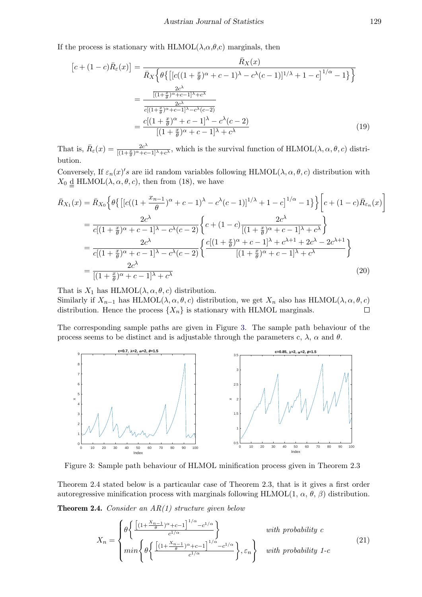If the process is stationary with HLMOL( $\lambda, \alpha, \theta, c$ ) marginals, then

$$
[c + (1 - c)\bar{R}_{\varepsilon}(x)] = \frac{\bar{R}_{X}(x)}{\bar{R}_{X}\left\{\theta\left\{\left[ [c((1 + \frac{x}{\theta})^{\alpha} + c - 1)^{\lambda} - c^{\lambda}(c - 1)]^{1/\lambda} + 1 - c \right]^{1/\alpha} - 1 \right\}\right\}}
$$

$$
= \frac{\frac{2c^{\lambda}}{[(1 + \frac{x}{\theta})^{\alpha} + c - 1]^{\lambda} + c^{\lambda}}}{\frac{2c^{\lambda}}{c[(1 + \frac{x}{\theta})^{\alpha} + c - 1]^{\lambda} - c^{\lambda}(c - 2)}}
$$

$$
= \frac{c[(1 + \frac{x}{\theta})^{\alpha} + c - 1]^{\lambda} - c^{\lambda}(c - 2)}{[(1 + \frac{x}{\theta})^{\alpha} + c - 1]^{\lambda} + c^{\lambda}}
$$
(19)

That is,  $\bar{R}_{\varepsilon}(x) = \frac{2c^{\lambda}}{(1+\frac{x}{2})^{\alpha}+c^{\alpha}}$  $\frac{2c^{\lambda}}{[(1+\frac{x}{\theta})^{\alpha}+c-1]^{\lambda}+c^{\lambda}}$ , which is the survival function of HLMOL( $\lambda, \alpha, \theta, c$ ) distribution.

Conversely, If  $\varepsilon_n(x)'s$  are iid random variables following HLMOL( $\lambda, \alpha, \theta, c$ ) distribution with  $X_0 \underline{d}$  HLMOL $(\lambda, \alpha, \theta, c)$ , then from (18), we have

$$
\bar{R}_{X_1}(x) = \bar{R}_{X_0} \Big\{ \theta \{ \left[ [c((1 + \frac{x_{n-1}}{\theta})^{\alpha} + c - 1)^{\lambda} - c^{\lambda} (c - 1)]^{1/\lambda} + 1 - c \right]^{1/\alpha} - 1 \} \Big\} \Big[ c + (1 - c) \bar{R}_{\varepsilon_n}(x) \Big]
$$
\n
$$
= \frac{2c^{\lambda}}{c[(1 + \frac{x}{\theta})^{\alpha} + c - 1]^{\lambda} - c^{\lambda} (c - 2)} \Big\{ c + (1 - c) \frac{2c^{\lambda}}{[(1 + \frac{x}{\theta})^{\alpha} + c - 1]^{\lambda} + c^{\lambda}} \Big\}
$$
\n
$$
= \frac{2c^{\lambda}}{c[(1 + \frac{x}{\theta})^{\alpha} + c - 1]^{\lambda} - c^{\lambda} (c - 2)} \Big\{ \frac{c[(1 + \frac{x}{\theta})^{\alpha} + c - 1]^{\lambda} + c^{\lambda + 1} + 2c^{\lambda} - 2c^{\lambda + 1}}{[(1 + \frac{x}{\theta})^{\alpha} + c - 1]^{\lambda} + c^{\lambda}} \Big\}
$$
\n
$$
= \frac{2c^{\lambda}}{[(1 + \frac{x}{\theta})^{\alpha} + c - 1]^{\lambda} + c^{\lambda}}
$$
\n(20)

That is  $X_1$  has HLMOL $(\lambda, \alpha, \theta, c)$  distribution.

Similarly if  $X_{n-1}$  has HLMOL( $\lambda, \alpha, \theta, c$ ) distribution, we get  $X_n$  also has HLMOL( $\lambda, \alpha, \theta, c$ ) distribution. Hence the process  $\{X_n\}$  is stationary with HLMOL marginals.  $\Box$ 

The corresponding sample paths are given in Figure [3.](#page-5-0) The sample path behaviour of the process seems to be distinct and is adjustable through the parameters c,  $\lambda$ ,  $\alpha$  and  $\theta$ .

<span id="page-5-0"></span>

Figure 3: Sample path behaviour of HLMOL minification process given in Theorem 2.3

Theorem 2.4 stated below is a particaular case of Theorem 2.3, that is it gives a first order autoregressive minification process with marginals following HLMOL(1,  $\alpha$ ,  $\theta$ ,  $\beta$ ) distribution.

**Theorem 2.4.** Consider an  $AR(1)$  structure given below

$$
X_n = \begin{cases} \n\theta \left\{ \frac{\left[ (1 + \frac{X_{n-1}}{\theta})^{\alpha} + c - 1 \right]^{1/\alpha} - c^{1/\alpha}}{c^{1/\alpha}} \right\} & \text{with probability } c \\
\min \left\{ \theta \left\{ \frac{\left[ (1 + \frac{X_{n-1}}{\theta})^{\alpha} + c - 1 \right]^{1/\alpha} - c^{1/\alpha}}{c^{1/\alpha}} \right\}, \varepsilon_n \right\} & \text{with probability } 1 - c\n\end{cases}
$$
\n
$$
(21)
$$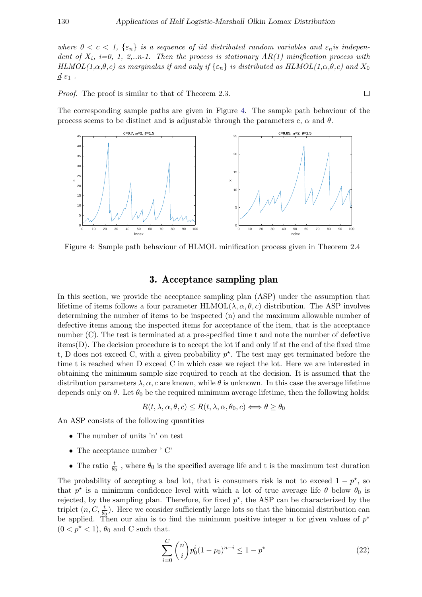where  $0 < c < 1$ ,  $\{\varepsilon_n\}$  is a sequence of iid distributed random variables and  $\varepsilon_n$  is independent of  $X_i$ , i=0, 1, 2,..n-1. Then the process is stationary  $AR(1)$  minification process with HLMOL(1, $\alpha, \theta, c$ ) as marginalas if and only if  $\{\varepsilon_n\}$  is distributed as HLMOL(1, $\alpha, \theta, c$ ) and  $X_0$  $\underline{d}\;\varepsilon_1$  .

Proof. The proof is similar to that of Theorem 2.3.

The corresponding sample paths are given in Figure [4.](#page-6-0) The sample path behaviour of the process seems to be distinct and is adjustable through the parameters c,  $\alpha$  and  $\theta$ .

<span id="page-6-0"></span>

Figure 4: Sample path behaviour of HLMOL minification process given in Theorem 2.4

# 3. Acceptance sampling plan

In this section, we provide the acceptance sampling plan (ASP) under the assumption that lifetime of items follows a four parameter  $HLMOL(\lambda, \alpha, \theta, c)$  distribution. The ASP involves determining the number of items to be inspected (n) and the maximum allowable number of defective items among the inspected items for acceptance of the item, that is the acceptance number (C). The test is terminated at a pre-specified time t and note the number of defective items(D). The decision procedure is to accept the lot if and only if at the end of the fixed time t, D does not exceed C, with a given probability  $p^*$ . The test may get terminated before the time t is reached when D exceed C in which case we reject the lot. Here we are interested in obtaining the minimum sample size required to reach at the decision. It is assumed that the distribution parameters  $\lambda, \alpha, c$  are known, while  $\theta$  is unknown. In this case the average lifetime depends only on  $\theta$ . Let  $\theta_0$  be the required minimum average lifetime, then the following holds:

$$
R(t, \lambda, \alpha, \theta, c) \le R(t, \lambda, \alpha, \theta_0, c) \Longleftrightarrow \theta \ge \theta_0
$$

An ASP consists of the following quantities

- The number of units 'n' on test
- The acceptance number ' C'
- The ratio  $\frac{t}{\theta_0}$ , where  $\theta_0$  is the specified average life and t is the maximum test duration

The probability of accepting a bad lot, that is consumers risk is not to exceed  $1 - p^*$ , so that  $p^*$  is a minimum confidence level with which a lot of true average life  $\theta$  below  $\theta_0$  is rejected, by the sampling plan. Therefore, for fixed  $p^*$ , the ASP can be characterized by the triplet  $(n, C, \frac{t}{\theta_0})$ . Here we consider sufficiently large lots so that the binomial distribution can be applied. Then our aim is to find the minimum positive integer n for given values of  $p^*$  $(0 < p^* < 1)$ ,  $\theta_0$  and C such that.

$$
\sum_{i=0}^{C} \binom{n}{i} p_0^i (1 - p_0)^{n-i} \le 1 - p^{\star}
$$
\n(22)

$$
\Box
$$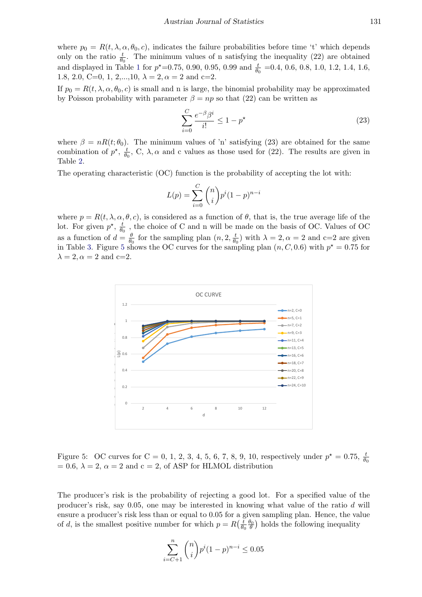where  $p_0 = R(t, \lambda, \alpha, \theta_0, c)$ , indicates the failure probabilities before time 't' which depends only on the ratio  $\frac{t}{\theta_0}$ . The minimum values of n satisfying the inequality (22) are obtained and displayed in Table [1](#page-8-0) for  $p^*$ =0.75, 0.90, 0.95, 0.99 and  $\frac{t}{\theta_0}$  =0.4, 0.6, 0.8, 1.0, 1.2, 1.4, 1.6, 1.8, 2.0, C=0, 1, 2,..., 10,  $\lambda = 2$ ,  $\alpha = 2$  and c=2.

If  $p_0 = R(t, \lambda, \alpha, \theta_0, c)$  is small and n is large, the binomial probability may be approximated by Poisson probability with parameter  $\beta = np$  so that (22) can be written as

$$
\sum_{i=0}^{C} \frac{e^{-\beta} \beta^i}{i!} \le 1 - p^\star \tag{23}
$$

where  $\beta = nR(t; \theta_0)$ . The minimum values of 'n' satisfying (23) are obtained for the same combination of  $p^*$ ,  $\frac{t}{\theta}$  $\frac{t}{\theta_0}$ , C,  $\lambda$ ,  $\alpha$  and c values as those used for (22). The results are given in Table [2.](#page-9-0)

The operating characteristic (OC) function is the probability of accepting the lot with:

$$
L(p) = \sum_{i=0}^{C} \binom{n}{i} p^{i} (1-p)^{n-i}
$$

where  $p = R(t, \lambda, \alpha, \theta, c)$ , is considered as a function of  $\theta$ , that is, the true average life of the lot. For given  $p^*$ ,  $\frac{t}{a}$  $\frac{t}{\theta_0}$ , the choice of C and n will be made on the basis of OC. Values of OC as a function of  $d = \frac{\theta}{\theta}$  $\frac{\theta}{\theta_0}$  for the sampling plan  $(n, 2, \frac{t}{\theta_0})$  $\left(\frac{t}{\theta_0}\right)$  with  $\lambda = 2, \alpha = 2$  and c=2 are given in Table [3.](#page-10-0) Figure [5](#page-7-0) shows the OC curves for the sampling plan  $(n, C, 0.6)$  with  $p^* = 0.75$  for  $\lambda = 2, \alpha = 2$  and c=2.

<span id="page-7-0"></span>

Figure 5: OC curves for C = 0, 1, 2, 3, 4, 5, 6, 7, 8, 9, 10, respectively under  $p^* = 0.75$ ,  $\frac{t}{\theta_0}$  $= 0.6, \lambda = 2, \alpha = 2$  and  $c = 2$ , of ASP for HLMOL distribution

The producer's risk is the probability of rejecting a good lot. For a specified value of the producer's risk, say 0.05, one may be interested in knowing what value of the ratio d will ensure a producer's risk less than or equal to 0.05 for a given sampling plan. Hence, the value of d, is the smallest positive number for which  $p = R\left(\frac{t}{\theta}\right)$  $\overline{\theta_0}$  $\frac{\theta_0}{\theta}$ ) holds the following inequality

$$
\sum_{i=C+1}^{n} \binom{n}{i} p^i (1-p)^{n-i} \le 0.05
$$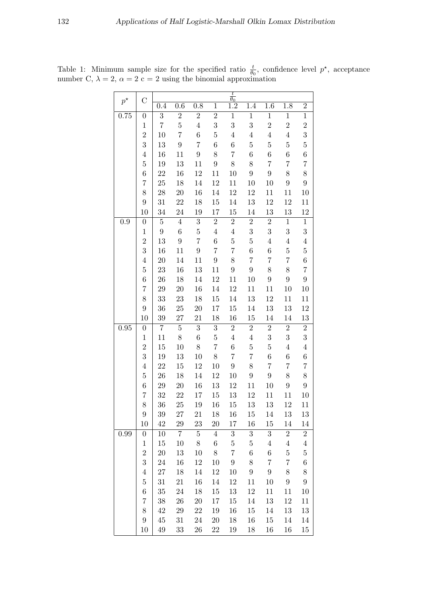|             |                     |                   |                  |                  |                  | $\frac{t}{t}$<br>$\overline{\theta_0}$ |                  |                           |                    |                       |
|-------------|---------------------|-------------------|------------------|------------------|------------------|----------------------------------------|------------------|---------------------------|--------------------|-----------------------|
| $p^{\star}$ | $\mathcal{C}$       | 0.4               | $0.\overline{6}$ | 0.8              | $\mathbf{1}$     | $\overline{1.2}$                       | 1.4              | 1.6                       | 1.8                | $\overline{2}$        |
| 0.75        | $\boldsymbol{0}$    | 3                 | $\sqrt{2}$       | $\sqrt{2}$       | $\sqrt{2}$       | $1\,$                                  | $\mathbf{1}$     | $\mathbf 1$               | $\mathbf{1}$       | $\mathbf 1$           |
|             | $\,1$               | $\overline{7}$    | $\bf 5$          | $\,4\,$          | 3                | 3                                      | 3                | $\overline{2}$            | $\overline{2}$     | $\overline{2}$        |
|             | $\overline{2}$      | 10                | $\overline{7}$   | $\boldsymbol{6}$ | $\overline{5}$   | $\overline{4}$                         | $\overline{4}$   | $\overline{4}$            | $\overline{4}$     | $\overline{3}$        |
|             | 3                   | 13                | $\boldsymbol{9}$ | $\overline{7}$   | $\boldsymbol{6}$ | $\,6$                                  | $\bf 5$          | $\overline{5}$            | $\bf 5$            | $\bf 5$               |
|             | $\,4\,$             | 16                | 11               | $\boldsymbol{9}$ | 8                | $\overline{7}$                         | $\,6$            | $6\phantom{.}$            | $\,6\,$            | $\,6$                 |
|             | $\overline{5}$      | 19                | 13               | 11               | $9\phantom{.0}$  | $8\,$                                  | $8\,$            | $\overline{7}$            | $\overline{7}$     | $\,7$                 |
|             | $\,6$               | 22                | 16               | 12               | 11               | 10                                     | $9\phantom{.0}$  | $9\phantom{.0}$           | $8\,$              | $8\,$                 |
|             | $\overline{7}$      | 25                | 18               | 14               | 12               | 11                                     | 10               | 10                        | $\boldsymbol{9}$   | $\boldsymbol{9}$      |
|             | 8                   | $\ensuremath{28}$ | 20               | 16               | 14               | $12\,$                                 | 12               | 11                        | 11                 | 10                    |
|             | $\boldsymbol{9}$    | 31                | 22               | 18               | $15\,$           | 14                                     | $13\,$           | 12                        | 12                 | 11                    |
|             | 10                  | 34                | $24\,$           | 19               | 17               | 15                                     | 14               | 13                        | 13                 | 12                    |
| 0.9         | $\boldsymbol{0}$    | $\overline{5}$    | $\overline{4}$   | $\boldsymbol{3}$ | $\overline{2}$   | $\sqrt{2}$                             | $\sqrt{2}$       | $\overline{2}$            | $\mathbf{1}$       | $\mathbf{1}$          |
|             | $1\,$               | $9\phantom{.0}$   | $\,6$            | $\bf 5$          | $\overline{4}$   | $\,4\,$                                | $\boldsymbol{3}$ | 3                         | 3                  | $\overline{3}$        |
|             | $\overline{2}$      | 13                | $\boldsymbol{9}$ | $\overline{7}$   | $6\phantom{.0}$  | $\bf 5$                                | $\bf 5$          | $\overline{4}$            | $\bf 4$            | $\sqrt{4}$            |
|             | 3                   | 16                | 11               | 9                | $\overline{7}$   | $\overline{7}$                         | $\,6$            | 6                         | $\bf 5$            | $\bf 5$               |
|             | $\overline{4}$      | $20\,$            | 14               | 11               | $9\phantom{.0}$  | 8                                      | $\overline{7}$   | $\overline{7}$            | $\overline{7}$     | $\,6$                 |
|             | $\overline{5}$      | 23                | 16               | 13               | 11               | $\boldsymbol{9}$                       | $\boldsymbol{9}$ | 8                         | $8\,$              | $\overline{7}$        |
|             | $\boldsymbol{6}$    | 26                | 18               | 14               | 12               | 11                                     | 10               | $9\phantom{.0}$           | $\boldsymbol{9}$   | $9\phantom{.}$        |
|             | $\overline{7}$      | 29                | 20               | 16               | 14               | 12                                     | 11               | 11                        | 10                 | 10                    |
|             | 8                   | 33                | 23               | 18               | $15\,$           | 14                                     | $13\,$           | 12                        | 11                 | 11                    |
|             | $\boldsymbol{9}$    | 36                | $25\,$           | $20\,$           | 17               | $15\,$                                 | 14               | $13\,$                    | 13                 | $12\,$                |
|             | 10                  | $39\,$            | $27\,$           | 21               | 18               | 16                                     | 15               | 14                        | 14                 | 13                    |
| 0.95        | $\boldsymbol{0}$    | $\overline{7}$    | $\bf 5$          | $\boldsymbol{3}$ | 3                | $\overline{2}$                         | $\,2$            | $\overline{2}$            | $\sqrt{2}$         | $\,2$                 |
|             | $\mathbf{1}$        | 11                | $8\,$            | $\boldsymbol{6}$ | $\overline{5}$   | $\overline{4}$                         | $\bf 4$          | 3                         | 3                  | $\boldsymbol{3}$      |
|             | $\overline{2}$      | 15                | 10               | $8\,$            | $\overline{7}$   | $\,6\,$                                | $\overline{5}$   | $\overline{5}$            | $\bf 4$            | $\,4\,$               |
|             | 3                   | 19                | 13               | 10               | 8                | $\overline{7}$                         | $\overline{7}$   | $6\phantom{.}$            | $\,6$              | $\,6$                 |
|             | $\overline{4}$      | 22                | 15               | 12               | 10               | $\boldsymbol{9}$                       | 8                | $\overline{7}$            | $\overline{7}$     | $\,7$                 |
|             | $\bf 5$             | $26\,$            | 18               | 14               | 12               | 10                                     | $\boldsymbol{9}$ | $9\phantom{.0}$           | $8\,$              | $8\,$                 |
|             | $\sqrt{6}$          | 29                | 20               | 16               | 13               | 12                                     | 11               | 10                        | $\boldsymbol{9}$   | $\boldsymbol{9}$      |
|             | 7                   | 32                | 22               | 17               | 15               | 13                                     | 12               | 11                        | 11                 | 10                    |
|             | 8                   | 36                | 25               | 19               | 16               | 15                                     | $13\,$           | 13                        | 12                 | 11                    |
|             | $\boldsymbol{9}$    | $39\,$            | $27\,$           | 21               | 18               | 16                                     | 15               | 14                        | 13                 | 13                    |
|             | 10                  | 42                | 29               | 23               | 20               | $17\,$                                 | 16               | $15\,$                    | 14                 | 14                    |
| 0.99        | $\boldsymbol{0}$    | 10                | $\overline{7}$   | $\overline{5}$   | $\overline{4}$   | $\sqrt{3}$                             | 3 <sup>1</sup>   | 3                         | $\sqrt{2}$         | $\sqrt{2}$            |
|             | $\,1$               | 15<br>20          | 10               | 8                | $\,6\,$<br>8     | $\bf 5$<br>$\overline{\mathbf{7}}$     | $\bf 5$<br>$\,6$ | $\overline{4}$<br>$\,6\,$ | $\,4\,$<br>$\bf 5$ | $\,4\,$<br>$\bf 5$    |
|             | $\overline{2}$<br>3 |                   | 13<br>16         | 10               | 10               | $\boldsymbol{9}$                       | 8                | $\overline{7}$            | $\overline{7}$     | $\,6$                 |
|             | $\overline{4}$      | $24\,$            |                  | 12               |                  |                                        | $\boldsymbol{9}$ | $9\phantom{.0}$           | $8\,$              |                       |
|             | $\overline{5}$      | $27\,$<br>31      | 18               | 14<br>16         | 12<br>14         | 10<br>12                               | 11               | 10                        | $\boldsymbol{9}$   | 8<br>$\boldsymbol{9}$ |
|             | $\,6$               | 35                | 21<br>$24\,$     | 18               | $15\,$           |                                        | 12               |                           |                    | 10                    |
|             | $\overline{7}$      | 38                | 26               |                  | 17               | 13                                     | 14               | 11<br>13                  | 11<br>12           | 11                    |
|             | 8                   | 42                | $\,29$           | $20\,$<br>$22\,$ | 19               | 15<br>16                               | 15               |                           | 13                 | 13                    |
|             | $\boldsymbol{9}$    | $45\,$            | 31               | $24\,$           | $20\,$           | 18                                     | 16               | 14<br>15                  | 14                 | 14                    |
|             | 10                  | 49                | $33\,$           | $26\,$           | $22\,$           | 19                                     | 18               | 16                        | 16                 | 15                    |
|             |                     |                   |                  |                  |                  |                                        |                  |                           |                    |                       |

<span id="page-8-0"></span>Table 1: Minimum sample size for the specified ratio  $\frac{t}{\theta_0}$ , confidence level  $p^*$ , acceptance number C,  $\lambda = 2$ ,  $\alpha = 2$  c = 2 using the binomial approximation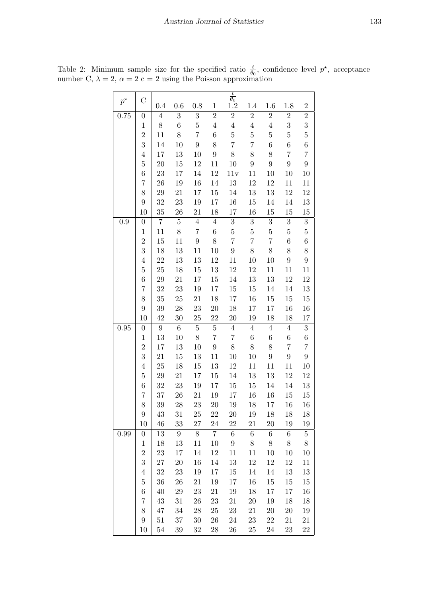| $p^{\star}$ | $\overline{C}$       |                  |                  |                  |                  | $\,t$<br>$\overline{\theta_0}$ |                  |                  |                  |                  |
|-------------|----------------------|------------------|------------------|------------------|------------------|--------------------------------|------------------|------------------|------------------|------------------|
|             |                      | 0.4              | $0.\overline{6}$ | 0.8              | $\mathbf{1}$     | $\overline{1.2}$               | 1.4              | 1.6              | 1.8              | $\overline{2}$   |
| 0.75        | $\boldsymbol{0}$     | $\overline{4}$   | $\boldsymbol{3}$ | 3                | $\overline{2}$   | $\overline{2}$                 | $\overline{2}$   | $\overline{2}$   | $\overline{2}$   | $\overline{2}$   |
|             | $\mathbf 1$          | 8                | $\boldsymbol{6}$ | $\overline{5}$   | $\overline{4}$   | $\overline{4}$                 | $\overline{4}$   | $\,4\,$          | 3                | 3                |
|             | $\overline{2}$       | 11               | 8                | $\overline{7}$   | $\,6$            | $\overline{5}$                 | $\overline{5}$   | $\overline{5}$   | $\overline{5}$   | $\overline{5}$   |
|             | 3                    | 14               | 10               | $\boldsymbol{9}$ | 8                | $\overline{7}$                 | $\overline{7}$   | $\boldsymbol{6}$ | $\overline{6}$   | $\boldsymbol{6}$ |
|             | $\,4\,$              | $17\,$           | 13               | 10               | $\boldsymbol{9}$ | $8\,$                          | 8                | 8                | $\overline{7}$   | $\overline{7}$   |
|             | $\overline{5}$       | 20               | 15               | 12               | 11               | 10                             | $\boldsymbol{9}$ | $\boldsymbol{9}$ | $\boldsymbol{9}$ | $\boldsymbol{9}$ |
|             | $\,6$                | 23               | 17               | 14               | 12               | 11v                            | 11               | 10               | 10               | 10               |
|             | 7                    | 26               | 19               | 16               | $14\,$           | 13                             | 12               | 12               | 11               | 11               |
|             | 8                    | 29               | 21               | 17               | 15               | 14                             | 13               | 13               | 12               | 12               |
|             | $\boldsymbol{9}$     | 32               | 23               | 19               | 17               | 16                             | 15               | 14               | 14               | 13               |
|             | 10                   | 35               | 26               | 21               | 18               | 17                             | 16               | 15               | 15               | 15               |
| 0.9         | $\boldsymbol{0}$     | $\overline{7}$   | $\overline{5}$   | $\overline{4}$   | $\sqrt{4}$       | $\overline{3}$                 | $\overline{3}$   | $\overline{3}$   | $\overline{3}$   | $\overline{3}$   |
|             | $\mathbf 1$          | 11               | 8                | $\overline{7}$   | $\,6$            | $\bf 5$                        | $\overline{5}$   | $\bf 5$          | $\overline{5}$   | $\overline{5}$   |
|             | $\overline{2}$       | 15               | 11               | $\overline{9}$   | 8                | $\overline{7}$                 | $\overline{7}$   | $\overline{7}$   | $\boldsymbol{6}$ | $\boldsymbol{6}$ |
|             | 3                    | 18               | 13               | 11               | 10               | $\boldsymbol{9}$               | $8\,$            | 8                | 8                | 8                |
|             | $\,4\,$              | 22               | 13               | 13               | 12               | 11                             | 10               | 10               | $\boldsymbol{9}$ | $\boldsymbol{9}$ |
|             | $\overline{5}$       | 25               | 18               | 15               | 13               | 12                             | 12               | 11               | 11               | 11               |
|             | $\,6$                | 29               | 21               | 17               | 15               | 14                             | 13               | 13               | 12               | 12               |
|             | 7                    | 32               | 23               | 19               | 17               | 15                             | 15               | 14               | 14               | 13               |
|             | 8                    | 35               | $25\,$           | $21\,$           | 18               | 17                             | 16               | $15\,$           | $15\,$           | 15               |
|             | $\boldsymbol{9}$     | 39               | 28               | 23               | 20               | 18                             | 17               | 17               | 16               | 16               |
|             | 10                   | 42               | 30               | 25               | 22               | $20\,$                         | 19               | 18               | 18               | 17               |
| 0.95        | $\boldsymbol{0}$     | $\boldsymbol{9}$ | $\sqrt{6}$       | $\bf 5$          | $\bf 5$          | $\overline{4}$                 | $\bf 4$          | $\overline{4}$   | $\,4\,$          | $\overline{3}$   |
|             | $\,1$                | 13               | 10               | 8                | $\overline{7}$   | $\overline{7}$                 | $\,6\,$          | $\,6$            | $\,6$            | $\boldsymbol{6}$ |
|             | $\overline{2}$       | 17               | 13               | 10               | $\boldsymbol{9}$ | 8                              | 8                | 8                | $\overline{7}$   | $\overline{7}$   |
|             | 3                    | 21               | 15               | 13               | 11               | 10                             | 10               | $\boldsymbol{9}$ | $\overline{9}$   | $\overline{9}$   |
|             | $\,4\,$              | 25               | 18               | 15               | 13               | 12                             | 11               | 11               | 11               | 10               |
|             | $\overline{5}$       | 29               | $21\,$           | 17               | 15               | 14                             | 13               | 13               | $12\,$           | 12               |
|             | $\,6$                | 32               | 23               | 19               | 17               | 15                             | 15               | 14               | 14               | 13               |
|             | $\overline{7}$       | 37               | 26               | 21               | 19               | 17                             | 16               | 16               | 15               | 15               |
|             | 8<br>$9\phantom{.0}$ | 39               | 28               | 23               | 20<br>22         | 19                             | 18               | 17               | 16               | 16               |
|             | 10                   | 43<br>46         | 31<br>33         | $25\,$<br>27     | 24               | $20\,$<br>22                   | 19<br>21         | 18<br>20         | 18<br>19         | 18<br>19         |
| 0.99        | $\boldsymbol{0}$     | 13               | $9\phantom{.0}$  | 8                | $\overline{7}$   | $\,6$                          | $\boldsymbol{6}$ | $\,6$            | $\,6$            | $\bf 5$          |
|             | $1\,$                | 18               | 13               | 11               | 10               | $9\phantom{.0}$                | 8                | $8\,$            | $8\,$            | $8\,$            |
|             | $\overline{2}$       | 23               | 17               | 14               | 12               | 11                             | 11               | 10               | 10               | 10               |
|             | 3                    | 27               | 20               | 16               | 14               | 13                             | 12               | 12               | 12               | 11               |
|             | $\,4\,$              | 32               | 23               | 19               | 17               | 15                             | 14               | 14               | 13               | 13               |
|             | $\overline{5}$       | 36               | 26               | 21               | 19               | 17                             | 16               | 15               | 15               | 15               |
|             | $\,6$                | 40               | 29               | 23               | 21               | 19                             | 18               | 17               | 17               | 16               |
|             | 7                    | 43               | 31               | 26               | 23               | 21                             | 20               | 19               | 18               | 18               |
|             | 8                    | 47               | 34               | 28               | 25               | 23                             | 21               | 20               | <b>20</b>        | 19               |
|             | $9\phantom{.0}$      | 51               | 37               | $30\,$           | 26               | 24                             | 23               | 22               | 21               | 21               |
|             | 10                   | 54               | 39               | 32               | 28               | 26                             | 25               | 24               | 23               | 22               |

<span id="page-9-0"></span>Table 2: Minimum sample size for the specified ratio  $\frac{t}{\theta_0}$ , confidence level  $p^*$ , acceptance number C,  $\lambda = 2$ ,  $\alpha = 2$  c = 2 using the Poisson approximation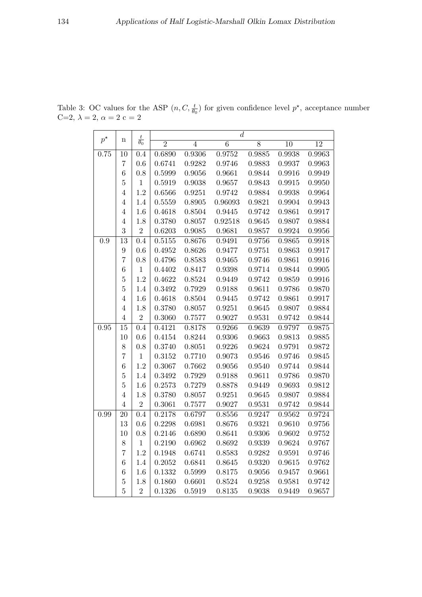|           |                  |                      |                |                | $\overline{d}$ |                |                 |                 |
|-----------|------------------|----------------------|----------------|----------------|----------------|----------------|-----------------|-----------------|
| $p^\star$ | $\mathbf n$      | $\frac{t}{\theta_0}$ | $\overline{2}$ | $\overline{4}$ | $\overline{6}$ | $\overline{8}$ | $\overline{10}$ | $\overline{12}$ |
| 0.75      | 10               | 0.4                  | 0.6890         | 0.9306         | 0.9752         | 0.9885         | 0.9938          | 0.9963          |
|           | 7                | 0.6                  | 0.6741         | 0.9282         | 0.9746         | 0.9883         | 0.9937          | 0.9963          |
|           | 6                | 0.8                  | 0.5999         | 0.9056         | 0.9661         | 0.9844         | 0.9916          | 0.9949          |
|           | $\overline{5}$   | $\mathbf{1}$         | 0.5919         | 0.9038         | 0.9657         | 0.9843         | 0.9915          | 0.9950          |
|           | $\overline{4}$   | 1.2                  | 0.6566         | 0.9251         | 0.9742         | 0.9884         | 0.9938          | 0.9964          |
|           | $\overline{4}$   | 1.4                  | $0.5559\,$     | 0.8905         | 0.96093        | 0.9821         | 0.9904          | 0.9943          |
|           | $\overline{4}$   | 1.6                  | 0.4618         | 0.8504         | 0.9445         | 0.9742         | 0.9861          | 0.9917          |
|           | $\overline{4}$   | 1.8                  | 0.3780         | 0.8057         | 0.92518        | 0.9645         | 0.9807          | 0.9884          |
|           | 3                | $\overline{2}$       | 0.6203         | 0.9085         | 0.9681         | 0.9857         | 0.9924          | 0.9956          |
| 0.9       | 13               | 0.4                  | 0.5155         | 0.8676         | 0.9491         | 0.9756         | 0.9865          | 0.9918          |
|           | 9                | 0.6                  | 0.4952         | 0.8626         | 0.9477         | 0.9751         | 0.9863          | 0.9917          |
|           | $\overline{7}$   | 0.8                  | 0.4796         | 0.8583         | 0.9465         | 0.9746         | 0.9861          | 0.9916          |
|           | $\overline{6}$   | $\mathbf{1}$         | 0.4402         | 0.8417         | 0.9398         | 0.9714         | 0.9844          | 0.9905          |
|           | $\overline{5}$   | 1.2                  | 0.4622         | 0.8524         | 0.9449         | 0.9742         | ${0.9859}$      | 0.9916          |
|           | $\overline{5}$   | 1.4                  | 0.3492         | 0.7929         | 0.9188         | 0.9611         | 0.9786          | 0.9870          |
|           | $\overline{4}$   | 1.6                  | 0.4618         | 0.8504         | 0.9445         | 0.9742         | $\,0.9861\,$    | 0.9917          |
|           | $\overline{4}$   | 1.8                  | 0.3780         | 0.8057         | 0.9251         | 0.9645         | 0.9807          | 0.9884          |
|           | $\overline{4}$   | $\overline{2}$       | 0.3060         | 0.7577         | 0.9027         | 0.9531         | $0.9742\,$      | 0.9844          |
| 0.95      | 15               | 0.4                  | 0.4121         | 0.8178         | 0.9266         | 0.9639         | 0.9797          | 0.9875          |
|           | 10               | 0.6                  | 0.4154         | 0.8244         | 0.9306         | 0.9663         | 0.9813          | 0.9885          |
|           | 8                | 0.8                  | 0.3740         | 0.8051         | 0.9226         | 0.9624         | 0.9791          | 0.9872          |
|           | $\overline{7}$   | $\mathbf{1}$         | 0.3152         | 0.7710         | 0.9073         | 0.9546         | 0.9746          | 0.9845          |
|           | $\overline{6}$   | 1.2                  | 0.3067         | 0.7662         | 0.9056         | 0.9540         | 0.9744          | 0.9844          |
|           | $\overline{5}$   | 1.4                  | 0.3492         | 0.7929         | 0.9188         | 0.9611         | $0.9786\,$      | 0.9870          |
|           | $\overline{5}$   | 1.6                  | 0.2573         | 0.7279         | 0.8878         | 0.9449         | 0.9693          | 0.9812          |
|           | $\overline{4}$   | 1.8                  | 0.3780         | 0.8057         | 0.9251         | 0.9645         | 0.9807          | 0.9884          |
|           | $\overline{4}$   | $\overline{2}$       | 0.3061         | 0.7577         | 0.9027         | 0.9531         | 0.9742          | 0.9844          |
| 0.99      | 20               | 0.4                  | 0.2178         | 0.6797         | 0.8556         | 0.9247         | 0.9562          | 0.9724          |
|           | 13               | 0.6                  | 0.2298         | 0.6981         | 0.8676         | 0.9321         | 0.9610          | 0.9756          |
|           | 10               | 0.8                  | 0.2146         | 0.6890         | 0.8641         | 0.9306         | 0.9602          | 0.9752          |
|           | 8                | $\mathbf{1}$         | 0.2190         | 0.6962         | 0.8692         | 0.9339         | 0.9624          | 0.9767          |
|           | $\overline{7}$   | 1.2                  | 0.1948         | 0.6741         | 0.8583         | 0.9282         | 0.9591          | 0.9746          |
|           | $\boldsymbol{6}$ | 1.4                  | 0.2052         | 0.6841         | 0.8645         | 0.9320         | 0.9615          | 0.9762          |
|           | $\boldsymbol{6}$ | 1.6                  | 0.1332         | 0.5999         | 0.8175         | 0.9056         | 0.9457          | 0.9661          |
|           | $\overline{5}$   | 1.8                  | 0.1860         | 0.6601         | 0.8524         | 0.9258         | 0.9581          | 0.9742          |
|           | $\overline{5}$   | $\overline{2}$       | 0.1326         | 0.5919         | 0.8135         | 0.9038         | 0.9449          | 0.9657          |

<span id="page-10-0"></span>Table 3: OC values for the ASP  $(n, C, \frac{t}{\theta_0})$  for given confidence level  $p^*$ , acceptance number C=2,  $\lambda = 2$ ,  $\alpha = 2$  c = 2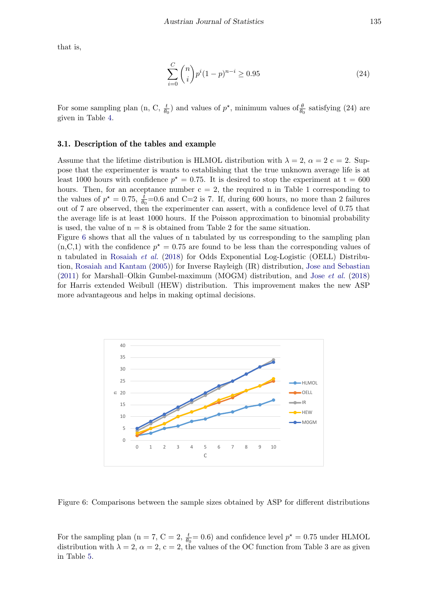that is,

$$
\sum_{i=0}^{C} \binom{n}{i} p^i (1-p)^{n-i} \ge 0.95\tag{24}
$$

For some sampling plan (n, C,  $\frac{t}{\theta_0}$ ) and values of  $p^*$ , minimum values of  $\frac{\theta}{\theta_0}$  satisfying (24) are given in Table [4.](#page-12-0)

#### 3.1. Description of the tables and example

Assume that the lifetime distribution is HLMOL distribution with  $\lambda = 2$ ,  $\alpha = 2$  c = 2. Suppose that the experimenter is wants to establishing that the true unknown average life is at least 1000 hours with confidence  $p^* = 0.75$ . It is desired to stop the experiment at  $t = 600$ hours. Then, for an acceptance number  $c = 2$ , the required n in Table 1 corresponding to the values of  $p^* = 0.75$ ,  $\frac{t}{\theta_0} = 0.6$  and C=2 is 7. If, during 600 hours, no more than 2 failures out of 7 are observed, then the experimenter can assert, with a confidence level of 0.75 that the average life is at least 1000 hours. If the Poisson approximation to binomial probability is used, the value of  $n = 8$  is obtained from Table 2 for the same situation.

Figure [6](#page-11-0) shows that all the values of n tabulated by us corresponding to the sampling plan  $(n, C, 1)$  with the confidence  $p^* = 0.75$  are found to be less than the corresponding values of n tabulated in [Rosaiah](#page-18-5) et al. [\(2018\)](#page-18-5) for Odds Exponential Log-Logistic (OELL) Distribution, [Rosaiah and Kantam](#page-18-6) [\(2005\)](#page-18-6)) for Inverse Rayleigh (IR) distribution, [Jose and Sebastian](#page-18-9) [\(2011\)](#page-18-9) for Marshall–Olkin Gumbel-maximum (MOGM) distribution, and Jose [et al.](#page-18-10) [\(2018\)](#page-18-10) for Harris extended Weibull (HEW) distribution. This improvement makes the new ASP more advantageous and helps in making optimal decisions.

<span id="page-11-0"></span>

Figure 6: Comparisons between the sample sizes obtained by ASP for different distributions

For the sampling plan (n = 7, C = 2,  $\frac{t}{\theta_0}$  = 0.6) and confidence level  $p^* = 0.75$  under HLMOL distribution with  $\lambda = 2$ ,  $\alpha = 2$ ,  $c = 2$ , the values of the OC function from Table 3 are as given in Table [5.](#page-13-0)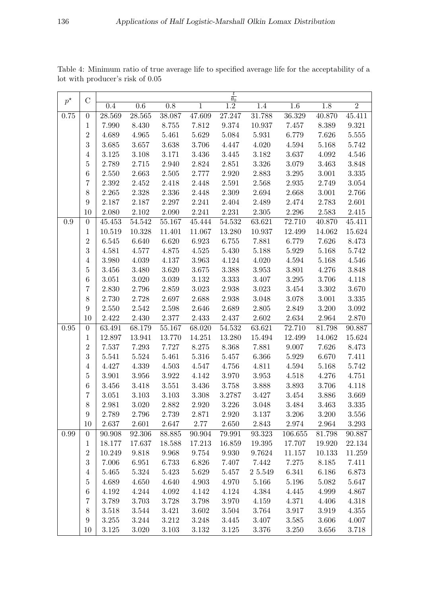|             |                  |        |           |           |                | $\frac{t}{\theta_0}$ |         |         |        |                |
|-------------|------------------|--------|-----------|-----------|----------------|----------------------|---------|---------|--------|----------------|
| $p^{\star}$ | $\mathcal C$     | 0.4    | 0.6       | 0.8       | $\overline{1}$ | $\overline{1.2}$     | 1.4     | 1.6     | 1.8    | $\overline{2}$ |
| 0.75        | $\boldsymbol{0}$ | 28.569 | 28.565    | 38.087    | 47.609         | 27.247               | 31.788  | 36.329  | 40.870 | 45.411         |
|             | 1                | 7.990  | 8.430     | 8.755     | 7.812          | 9.374                | 10.937  | 7.457   | 8.389  | 9.321          |
|             | $\overline{2}$   | 4.689  | 4.965     | 5.461     | 5.629          | 5.084                | 5.931   | 6.779   | 7.626  | 5.555          |
|             | 3                | 3.685  | 3.657     | 3.638     | 3.706          | 4.447                | 4.020   | 4.594   | 5.168  | 5.742          |
|             | $\overline{4}$   | 3.125  | 3.108     | 3.171     | 3.436          | 3.445                | 3.182   | 3.637   | 4.092  | 4.546          |
|             | $\overline{5}$   | 2.789  | 2.715     | 2.940     | 2.824          | 2.851                | 3.326   | 3.079   | 3.463  | 3.848          |
|             | 6                | 2.550  | 2.663     | 2.505     | 2.777          | 2.920                | 2.883   | 3.295   | 3.001  | $3.335\,$      |
|             | $\overline{7}$   | 2.392  | 2.452     | 2.418     | 2.448          | 2.591                | 2.568   | 2.935   | 2.749  | 3.054          |
|             | 8                | 2.265  | 2.328     | 2.336     | 2.448          | 2.309                | 2.694   | 2.668   | 3.001  | 2.766          |
|             | $\boldsymbol{9}$ | 2.187  | 2.187     | 2.297     | 2.241          | 2.404                | 2.489   | 2.474   | 2.783  | 2.601          |
|             | 10               | 2.080  | 2.102     | 2.090     | 2.241          | 2.231                | 2.305   | 2.296   | 2.583  | 2.415          |
| 0.9         | $\boldsymbol{0}$ | 45.453 | 54.542    | 55.167    | 45.444         | 54.532               | 63.621  | 72.710  | 40.870 | 45.411         |
|             | $\mathbf 1$      | 10.519 | 10.328    | 11.401    | 11.067         | 13.280               | 10.937  | 12.499  | 14.062 | 15.624         |
|             | $\overline{2}$   | 6.545  | 6.640     | 6.620     | 6.923          | 6.755                | 7.881   | 6.779   | 7.626  | 8.473          |
|             | 3                | 4.581  | 4.577     | 4.875     | 4.525          | 5.430                | 5.188   | 5.929   | 5.168  | 5.742          |
|             | $\overline{4}$   | 3.980  | 4.039     | 4.137     | 3.963          | 4.124                | 4.020   | 4.594   | 5.168  | 4.546          |
|             | $\overline{5}$   | 3.456  | 3.480     | 3.620     | 3.675          | 3.388                | 3.953   | 3.801   | 4.276  | 3.848          |
|             | 6                | 3.051  | 3.020     | $3.039\,$ | 3.132          | 3.333                | 3.407   | 3.295   | 3.706  | 4.118          |
|             | 7                | 2.830  | 2.796     | 2.859     | 3.023          | 2.938                | 3.023   | 3.454   | 3.302  | 3.670          |
|             | 8                | 2.730  | 2.728     | 2.697     | 2.688          | 2.938                | 3.048   | 3.078   | 3.001  | 3.335          |
|             | $\boldsymbol{9}$ | 2.550  | 2.542     | 2.598     | 2.646          | 2.689                | 2.805   | 2.849   | 3.200  | $3.092\,$      |
|             | 10               | 2.422  | 2.430     | 2.377     | 2.433          | 2.437                | 2.602   | 2.634   | 2.964  | 2.870          |
| 0.95        | $\boldsymbol{0}$ | 63.491 | 68.179    | 55.167    | 68.020         | 54.532               | 63.621  | 72.710  | 81.798 | 90.887         |
|             | $\mathbf 1$      | 12.897 | 13.941    | 13.770    | 14.251         | 13.280               | 15.494  | 12.499  | 14.062 | 15.624         |
|             | $\overline{2}$   | 7.537  | 7.293     | 7.727     | 8.275          | 8.368                | 7.881   | 9.007   | 7.626  | 8.473          |
|             | 3                | 5.541  | 5.524     | 5.461     | 5.316          | 5.457                | 6.366   | 5.929   | 6.670  | 7.411          |
|             | $\overline{4}$   | 4.427  | 4.339     | 4.503     | 4.547          | 4.756                | 4.811   | 4.594   | 5.168  | 5.742          |
|             | $\overline{5}$   | 3.901  | 3.956     | $3.922\,$ | 4.142          | 3.970                | 3.953   | 4.518   | 4.276  | 4.751          |
|             | $\,6$            | 3.456  | 3.418     | 3.551     | 3.436          | 3.758                | 3.888   | 3.893   | 3.706  | 4.118          |
|             | 7                | 3.051  | 3.103     | 3.103     | 3.308          | 3.2787               | 3.427   | 3.454   | 3.886  | 3.669          |
|             | 8                | 2.981  | 3.020     | 2.882     | 2.920          | 3.226                | 3.048   | 3.484   | 3.463  | 3.335          |
|             | $\boldsymbol{9}$ | 2.789  | 2.796     | 2.739     | 2.871          | 2.920                | 3.137   | 3.206   | 3.200  | 3.556          |
|             | 10               | 2.637  | $2.601\,$ | 2.647     | 2.77           | 2.650                | 2.843   | 2.974   | 2.964  | 3.293          |
| 0.99        | $\boldsymbol{0}$ | 90.908 | 92.306    | 88.885    | 90.904         | 79.991               | 93.323  | 106.655 | 81.798 | 90.887         |
|             | $\mathbf 1$      | 18.177 | 17.637    | 18.588    | 17.213         | 16.859               | 19.395  | 17.707  | 19.920 | 22.134         |
|             | $\sqrt{2}$       | 10.249 | 9.818     | 9.968     | 9.754          | 9.930                | 9.7624  | 11.157  | 10.133 | 11.259         |
|             | $\sqrt{3}$       | 7.006  | 6.951     | 6.733     | 6.826          | 7.407                | 7.442   | 7.275   | 8.185  | 7.411          |
|             | $\overline{4}$   | 5.465  | 5.324     | 5.423     | 5.629          | 5.457                | 2 5.549 | 6.341   | 6.186  | 6.873          |
|             | $\overline{5}$   | 4.689  | 4.650     | 4.640     | 4.903          | 4.970                | 5.166   | 5.196   | 5.082  | 5.647          |
|             | $\,6\,$          | 4.192  | 4.244     | 4.092     | 4.142          | 4.124                | 4.384   | 4.445   | 4.999  | 4.867          |
|             | $\overline{7}$   | 3.789  | 3.703     | 3.728     | 3.798          | 3.970                | 4.159   | 4.371   | 4.406  | 4.318          |
|             | $8\,$            | 3.518  | 3.544     | 3.421     | 3.602          | 3.504                | 3.764   | 3.917   | 3.919  | 4.355          |
|             | $\boldsymbol{9}$ | 3.255  | 3.244     | 3.212     | 3.248          | 3.445                | 3.407   | 3.585   | 3.606  | 4.007          |
|             | 10               | 3.125  | 3.020     | 3.103     | 3.132          | 3.125                | 3.376   | 3.250   | 3.656  | 3.718          |

<span id="page-12-0"></span>Table 4: Minimum ratio of true average life to specified average life for the acceptability of a lot with producer's risk of 0.05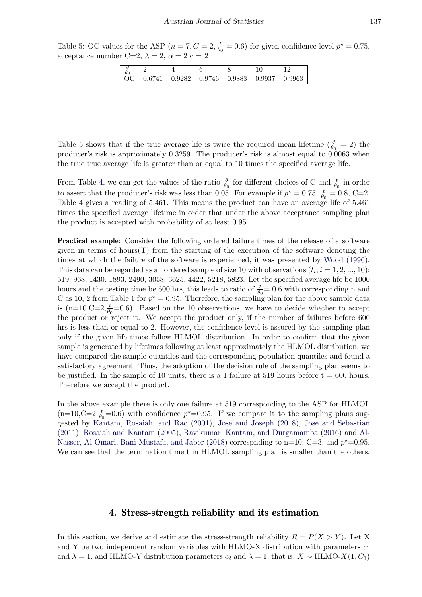<span id="page-13-0"></span>Table 5: OC values for the ASP  $(n = 7, C = 2, \frac{t}{6})$  $\frac{t}{\theta_0} = 0.6$ ) for given confidence level  $p^* = 0.75$ , acceptance number C=2,  $\lambda = 2$ ,  $\alpha = 2$  c = 2

| v<br>$\boldsymbol{\mu}$<br>v |        |        |        |        |        |        |
|------------------------------|--------|--------|--------|--------|--------|--------|
| $\Omega$                     | 0.6741 | 0.9282 | 0.9746 | 0.9883 | 0.9937 | 0.9963 |

Table [5](#page-13-0) shows that if the true average life is twice the required mean lifetime  $(\frac{\theta}{\theta_0} = 2)$  the producer's risk is approximately 0.3259. The producer's risk is almost equal to 0.0063 when the true true average life is greater than or equal to 10 times the specified average life.

From Table [4,](#page-12-0) we can get the values of the ratio  $\frac{\theta}{\theta_0}$  for different choices of C and  $\frac{t}{\theta_0}$  in order to assert that the producer's risk was less than 0.05. For example if  $p^* = 0.75$ ,  $\frac{t}{\theta_0} = 0.8$ , C=2, Table 4 gives a reading of 5.461. This means the product can have an average life of 5.461 times the specified average lifetime in order that under the above acceptance sampling plan the product is accepted with probability of at least 0.95.

Practical example: Consider the following ordered failure times of the release of a software given in terms of hours $(T)$  from the starting of the execution of the software denoting the times at which the failure of the software is experienced, it was presented by [Wood](#page-19-4) [\(1996\)](#page-19-4). This data can be regarded as an ordered sample of size 10 with observations  $(t_i; i = 1, 2, ..., 10)$ : 519, 968, 1430, 1893, 2490, 3058, 3625, 4422, 5218, 5823. Let the specified average life be 1000 hours and the testing time be 600 hrs, this leads to ratio of  $\frac{t}{\theta_0} = 0.6$  with corresponding n and C as 10, 2 from Table 1 for  $p^* = 0.95$ . Therefore, the sampling plan for the above sample data is  $(n=10,C=2,\frac{t}{\theta_0}=0.6)$ . Based on the 10 observations, we have to decide whether to accept the product or reject it. We accept the product only, if the number of failures before 600 hrs is less than or equal to 2. However, the confidence level is assured by the sampling plan only if the given life times follow HLMOL distribution. In order to confirm that the given sample is generated by lifetimes following at least approximately the HLMOL distribution, we have compared the sample quantiles and the corresponding population quantiles and found a satisfactory agreement. Thus, the adoption of the decision rule of the sampling plan seems to be justified. In the sample of 10 units, there is a 1 failure at 519 hours before  $t = 600$  hours. Therefore we accept the product.

In the above example there is only one failure at 519 corresponding to the ASP for HLMOL  $(n=10,C=2,\frac{t}{\theta_0}=0.6)$  with confidence  $p^*=0.95$ . If we compare it to the sampling plans suggested by [Kantam, Rosaiah, and Rao](#page-18-14) [\(2001\)](#page-18-14), [Jose and Joseph](#page-18-8) [\(2018\)](#page-18-8), [Jose and Sebastian](#page-18-9) [\(2011\)](#page-18-9), [Rosaiah and Kantam](#page-18-6) [\(2005\)](#page-18-6), [Ravikumar, Kantam, and Durgamamba](#page-18-15) [\(2016\)](#page-18-15) and [Al-](#page-18-16)[Nasser, Al-Omari, Bani-Mustafa, and Jaber](#page-18-16) [\(2018\)](#page-18-16) correspnding to  $n=10$ ,  $C=3$ , and  $p^*=0.95$ . We can see that the termination time t in HLMOL sampling plan is smaller than the others.

## 4. Stress-strength reliability and its estimation

In this section, we derive and estimate the stress-strength reliability  $R = P(X > Y)$ . Let X and Y be two independent random variables with HLMO-X distribution with parameters  $c_1$ and  $\lambda = 1$ , and HLMO-Y distribution parameters  $c_2$  and  $\lambda = 1$ , that is,  $X \sim \text{HLMO-X}(1, C_1)$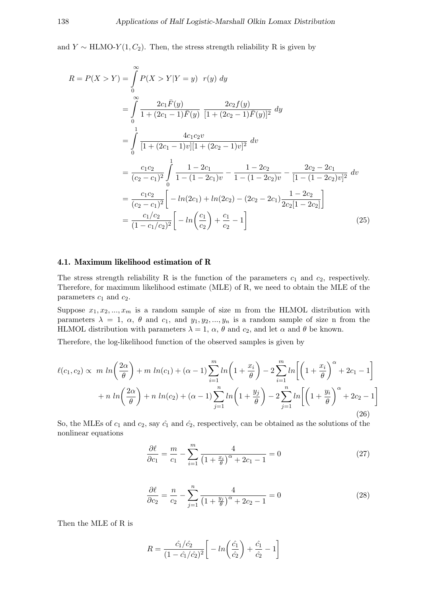and  $Y \sim \text{HLMO-}Y(1, C_2)$ . Then, the stress strength reliability R is given by

$$
R = P(X > Y) = \int_{0}^{\infty} P(X > Y | Y = y) r(y) dy
$$
  
\n
$$
= \int_{0}^{\infty} \frac{2c_{1} \bar{F}(y)}{1 + (2c_{1} - 1)\bar{F}(y)} \frac{2c_{2} f(y)}{[1 + (2c_{2} - 1)\bar{F}(y)]^{2}} dy
$$
  
\n
$$
= \int_{0}^{1} \frac{4c_{1}c_{2}v}{[1 + (2c_{1} - 1)v][1 + (2c_{2} - 1)v]^{2}} dv
$$
  
\n
$$
= \frac{c_{1}c_{2}}{(c_{2} - c_{1})^{2}} \int_{0}^{1} \frac{1 - 2c_{1}}{1 - (1 - 2c_{1})v} - \frac{1 - 2c_{2}}{1 - (1 - 2c_{2})v} - \frac{2c_{2} - 2c_{1}}{[1 - (1 - 2c_{2})v]^{2}} dv
$$
  
\n
$$
= \frac{c_{1}c_{2}}{(c_{2} - c_{1})^{2}} \left[ -\ln(2c_{1}) + \ln(2c_{2}) - (2c_{2} - 2c_{1}) \frac{1 - 2c_{2}}{2c_{2}[1 - 2c_{2}]} \right]
$$
  
\n
$$
= \frac{c_{1}/c_{2}}{(1 - c_{1}/c_{2})^{2}} \left[ -\ln\left(\frac{c_{1}}{c_{2}}\right) + \frac{c_{1}}{c_{2}} - 1 \right]
$$
(25)

### 4.1. Maximum likelihood estimation of R

The stress strength reliability R is the function of the parameters  $c_1$  and  $c_2$ , respectively. Therefore, for maximum likelihood estimate (MLE) of R, we need to obtain the MLE of the parameters  $c_1$  and  $c_2$ .

Suppose  $x_1, x_2, ..., x_m$  is a random sample of size m from the HLMOL distribution with parameters  $\lambda = 1, \alpha, \theta$  and  $c_1, \text{ and } y_1, y_2, \dots, y_n$  is a random sample of size n from the HLMOL distribution with parameters  $\lambda = 1$ ,  $\alpha$ ,  $\theta$  and  $c_2$ , and let  $\alpha$  and  $\theta$  be known.

Therefore, the log-likelihood function of the observed samples is given by

$$
\ell(c_1, c_2) \propto m \ln\left(\frac{2\alpha}{\theta}\right) + m \ln(c_1) + (\alpha - 1) \sum_{i=1}^m \ln\left(1 + \frac{x_i}{\theta}\right) - 2 \sum_{i=1}^m \ln\left[\left(1 + \frac{x_i}{\theta}\right)^{\alpha} + 2c_1 - 1\right] + n \ln\left(\frac{2\alpha}{\theta}\right) + n \ln(c_2) + (\alpha - 1) \sum_{j=1}^n \ln\left(1 + \frac{y_j}{\theta}\right) - 2 \sum_{j=1}^n \ln\left[\left(1 + \frac{y_i}{\theta}\right)^{\alpha} + 2c_2 - 1\right] \tag{26}
$$

So, the MLEs of  $c_1$  and  $c_2$ , say  $\hat{c_1}$  and  $\hat{c_2}$ , respectively, can be obtained as the solutions of the nonlinear equations

$$
\frac{\partial \ell}{\partial c_1} = \frac{m}{c_1} - \sum_{i=1}^{m} \frac{4}{\left(1 + \frac{x_i}{\theta}\right)^{\alpha} + 2c_1 - 1} = 0
$$
\n(27)

$$
\frac{\partial \ell}{\partial c_2} = \frac{n}{c_2} - \sum_{j=1}^n \frac{4}{\left(1 + \frac{y_j}{\theta}\right)^\alpha + 2c_2 - 1} = 0
$$
\n(28)

Then the MLE of R is

$$
R = \frac{\hat{c}_1/\hat{c}_2}{(1 - \hat{c}_1/\hat{c}_2)^2} \left[ -\ln\left(\frac{\hat{c}_1}{\hat{c}_2}\right) + \frac{\hat{c}_1}{\hat{c}_2} - 1 \right]
$$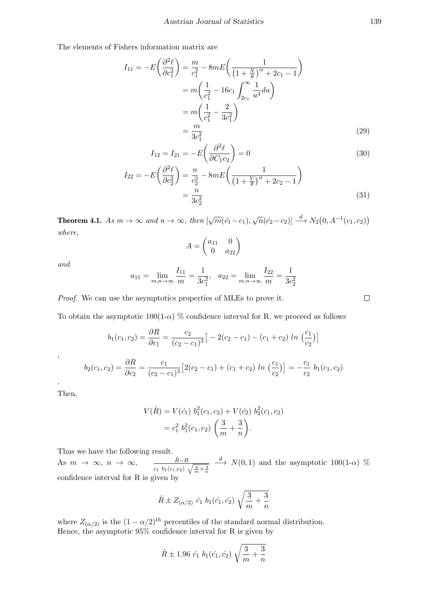The elements of Fishers information matrix are

$$
I_{11} = -E\left(\frac{\partial^2 \ell}{\partial c_1^2}\right) = \frac{m}{c_1^2} - 8mE\left(\frac{1}{\left(1 + \frac{X}{\theta}\right)^{\alpha} + 2c_1 - 1}\right)
$$
  
=  $m\left(\frac{1}{c_1^2} - 16c_1 \int_{2c_1}^{\infty} \frac{1}{u^4} du\right)$   
=  $m\left(\frac{1}{c_1^2} - \frac{2}{3c_1^2}\right)$   
=  $\frac{m}{3c_1^2}$  (29)

$$
I_{12} = I_{21} = -E\left(\frac{\partial^2 \ell}{\partial C_1 c_2}\right) = 0\tag{30}
$$

$$
I_{22} = -E\left(\frac{\partial^2 \ell}{\partial c_2^2}\right) = \frac{n}{c_2^2} - 8mE\left(\frac{1}{\left(1 + \frac{Y}{\theta}\right)^{\alpha} + 2c_2 - 1}\right)
$$
  
= 
$$
\frac{n}{3c_2^2}
$$
 (31)

**Theorem 4.1.** As  $m \to \infty$  and  $n \to \infty$ , then  $[\sqrt{m}(\hat{c_1} - c_1), \sqrt{n}(\hat{c_2} - c_2)] \stackrel{d}{\longrightarrow} N_2(0, A^{-1}(c_1, c_2))$ where,

$$
A = \begin{pmatrix} a_{11} & 0 \\ 0 & a_{22} \end{pmatrix}
$$

and

$$
a_{11} = \lim_{m,n \to \infty} \frac{I_{11}}{m} = \frac{1}{3c_1^2}, \quad a_{22} = \lim_{m,n \to \infty} \frac{I_{22}}{m} = \frac{1}{3c_2^2}
$$

Proof. We can use the asymptotics properties of MLEs to prove it.

To obtain the asymptotic  $100(1-\alpha)$  % confidence interval for R, we proceed as follows

$$
b_1(c_1, c_2) = \frac{\partial R}{\partial c_1} = \frac{c_2}{(c_2 - c_1)^3} \left[ -2(c_2 - c_1) - (c_1 + c_2) \ln\left(\frac{c_1}{c_2}\right) \right]
$$

$$
b_2(c_1, c_2) = \frac{\partial R}{\partial c_2} = \frac{c_1}{(c_2 - c_1)^3} \left[ 2(c_2 - c_1) + (c_1 + c_2) \ln\left(\frac{c_1}{c_2}\right) \right] = -\frac{c_1}{c_2} b_1(c_1, c_2)
$$

Then,

,

.

$$
V(\hat{R}) = V(\hat{c}_1) b_1^2(c_1, c_2) + V(\hat{c}_2) b_2^2(c_1, c_2)
$$
  
=  $c_1^2 b_1^2(c_1, c_2) \left(\frac{3}{m} + \frac{3}{n}\right)$ .

Thus we have the following result.

As  $m \to \infty$ ,  $n \to \infty$ ,  $\frac{\hat{R}-R}{\hat{R}-R}$  $c_1$   $b_1(c_1,c_2)$   $\sqrt{\frac{3}{m}+\frac{3}{n}}$  $\stackrel{d}{\longrightarrow} N(0,1)$  and the asymptotic 100(1- $\alpha$ ) % confidence interval for R is given by

$$
\hat{R} \pm Z_{(\alpha/2)} \hat{c}_1 b_1(\hat{c}_1, \hat{c}_2) \sqrt{\frac{3}{m} + \frac{3}{n}}
$$

where  $Z_{(\alpha/2)}$  is the  $(1 - \alpha/2)^{th}$  percentiles of the standard normal distribution. Hence, the asymptotic  $95\%$  confidence interval for R is given by

$$
\hat{R} \pm 1.96 \, \hat{c}_1 \, b_1(\hat{c}_1, \hat{c}_2) \sqrt{\frac{3}{m} + \frac{3}{n}}
$$

 $\Box$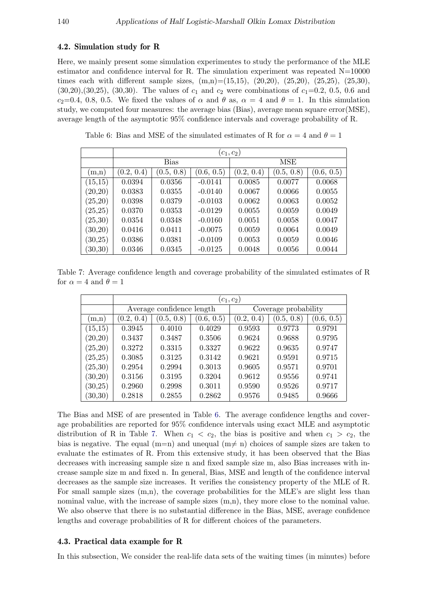#### 4.2. Simulation study for R

Here, we mainly present some simulation experimentes to study the performance of the MLE estimator and confidence interval for R. The simulation experiment was repeated  $N=10000$ times each with different sample sizes,  $(m,n)=(15,15)$ ,  $(20,20)$ ,  $(25,20)$ ,  $(25,25)$ ,  $(25,30)$ ,  $(30,20), (30,25), (30,30)$ . The values of  $c_1$  and  $c_2$  were combinations of  $c_1=0.2, 0.5, 0.6$  and c<sub>2</sub>=0.4, 0.8, 0.5. We fixed the values of  $\alpha$  and  $\theta$  as,  $\alpha = 4$  and  $\theta = 1$ . In this simulation study, we computed four measures: the average bias (Bias), average mean square error(MSE), average length of the asymptotic 95% confidence intervals and coverage probability of R.

<span id="page-16-0"></span>Table 6: Bias and MSE of the simulated estimates of R for  $\alpha = 4$  and  $\theta = 1$ 

|          | $(c_1,c_2)$ |             |            |            |            |            |  |  |
|----------|-------------|-------------|------------|------------|------------|------------|--|--|
|          |             | <b>Bias</b> |            |            | MSE        |            |  |  |
| (m,n)    | (0.2, 0.4)  | (0.5, 0.8)  | (0.6, 0.5) | (0.2, 0.4) | (0.5, 0.8) | (0.6, 0.5) |  |  |
| (15,15)  | 0.0394      | 0.0356      | $-0.0141$  | 0.0085     | 0.0077     | 0.0068     |  |  |
| (20,20)  | 0.0383      | 0.0355      | $-0.0140$  | 0.0067     | 0.0066     | 0.0055     |  |  |
| (25,20)  | 0.0398      | 0.0379      | $-0.0103$  | 0.0062     | 0.0063     | 0.0052     |  |  |
| (25, 25) | 0.0370      | 0.0353      | $-0.0129$  | 0.0055     | 0.0059     | 0.0049     |  |  |
| (25,30)  | 0.0354      | 0.0348      | $-0.0160$  | 0.0051     | 0.0058     | 0.0047     |  |  |
| (30,20)  | 0.0416      | 0.0411      | $-0.0075$  | 0.0059     | 0.0064     | 0.0049     |  |  |
| (30,25)  | 0.0386      | 0.0381      | $-0.0109$  | 0.0053     | 0.0059     | 0.0046     |  |  |
| (30, 30) | 0.0346      | 0.0345      | $-0.0125$  | 0.0048     | 0.0056     | 0.0044     |  |  |

<span id="page-16-1"></span>Table 7: Average confidence length and coverage probability of the simulated estimates of R for  $\alpha = 4$  and  $\theta = 1$ 

|          | $(c_1,c_2)$ |                           |            |                      |            |            |  |  |
|----------|-------------|---------------------------|------------|----------------------|------------|------------|--|--|
|          |             | Average confidence length |            | Coverage probability |            |            |  |  |
| (m,n)    | (0.2, 0.4)  | (0.5, 0.8)                | (0.6, 0.5) | (0.2, 0.4)           | (0.5, 0.8) | (0.6, 0.5) |  |  |
| (15,15)  | 0.3945      | 0.4010                    | 0.4029     | 0.9593               | 0.9773     | 0.9791     |  |  |
| (20, 20) | 0.3437      | 0.3487                    | 0.3506     | 0.9624               | 0.9688     | 0.9795     |  |  |
| (25,20)  | 0.3272      | 0.3315                    | 0.3327     | 0.9622               | 0.9635     | 0.9747     |  |  |
| (25, 25) | 0.3085      | 0.3125                    | 0.3142     | 0.9621               | 0.9591     | 0.9715     |  |  |
| (25,30)  | 0.2954      | 0.2994                    | 0.3013     | 0.9605               | 0.9571     | 0.9701     |  |  |
| (30,20)  | 0.3156      | 0.3195                    | 0.3204     | 0.9612               | 0.9556     | 0.9741     |  |  |
| (30, 25) | 0.2960      | 0.2998                    | 0.3011     | 0.9590               | 0.9526     | 0.9717     |  |  |
| (30, 30) | 0.2818      | 0.2855                    | 0.2862     | 0.9576               | 0.9485     | 0.9666     |  |  |

The Bias and MSE of are presented in Table [6.](#page-16-0) The average confidence lengths and coverage probabilities are reported for 95% confidence intervals using exact MLE and asymptotic distribution of R in Table [7.](#page-16-1) When  $c_1 < c_2$ , the bias is positive and when  $c_1 > c_2$ , the bias is negative. The equal (m=n) and unequal (m $\neq$  n) choices of sample sizes are taken to evaluate the estimates of R. From this extensive study, it has been observed that the Bias decreases with increasing sample size n and fixed sample size m, also Bias increases with increase sample size m and fixed n. In general, Bias, MSE and length of the confidence interval decreases as the sample size increases. It verifies the consistency property of the MLE of R. For small sample sizes  $(m,n)$ , the coverage probabilities for the MLE's are slight less than nominal value, with the increase of sample sizes  $(m,n)$ , they more close to the nominal value. We also observe that there is no substantial difference in the Bias, MSE, average confidence lengths and coverage probabilities of R for different choices of the parameters.

#### 4.3. Practical data example for R

In this subsection, We consider the real-life data sets of the waiting times (in minutes) before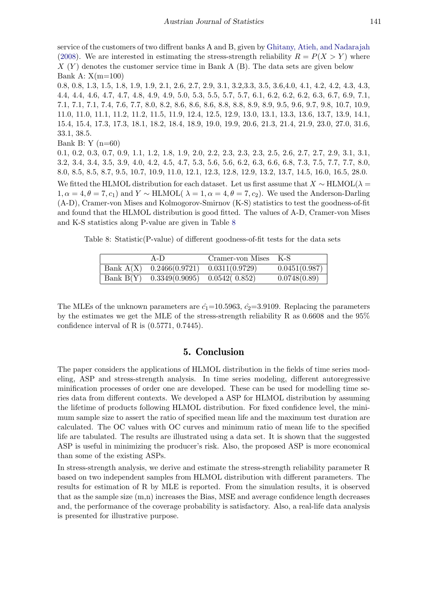service of the customers of two diffrent banks A and B, given by [Ghitany, Atieh, and Nadarajah](#page-18-17) [\(2008\)](#page-18-17). We are interested in estimating the stress-strength reliability  $R = P(X > Y)$  where  $X(Y)$  denotes the customer service time in Bank A (B). The data sets are given below Bank A: X(m=100)

0.8, 0.8, 1.3, 1.5, 1.8, 1.9, 1.9, 2.1, 2.6, 2.7, 2.9, 3.1, 3.2,3.3, 3.5, 3.6,4.0, 4.1, 4.2, 4.2, 4.3, 4.3, 4.4, 4.4, 4.6, 4.7, 4.7, 4.8, 4.9, 4.9, 5.0, 5.3, 5.5, 5.7, 5.7, 6.1, 6.2, 6.2, 6.2, 6.3, 6.7, 6.9, 7.1, 7.1, 7.1, 7.1, 7.4, 7.6, 7.7, 8.0, 8.2, 8.6, 8.6, 8.6, 8.8, 8.8, 8.9, 8.9, 9.5, 9.6, 9.7, 9.8, 10.7, 10.9, 11.0, 11.0, 11.1, 11.2, 11.2, 11.5, 11.9, 12.4, 12.5, 12.9, 13.0, 13.1, 13.3, 13.6, 13.7, 13.9, 14.1, 15.4, 15.4, 17.3, 17.3, 18.1, 18.2, 18.4, 18.9, 19.0, 19.9, 20.6, 21.3, 21.4, 21.9, 23.0, 27.0, 31.6, 33.1, 38.5.

Bank B: Y  $(n=60)$ 

0.1, 0.2, 0.3, 0.7, 0.9, 1.1, 1.2, 1.8, 1.9, 2.0, 2.2, 2.3, 2.3, 2.3, 2.5, 2.6, 2.7, 2.7, 2.9, 3.1, 3.1, 3.2, 3.4, 3.4, 3.5, 3.9, 4.0, 4.2, 4.5, 4.7, 5.3, 5.6, 5.6, 6.2, 6.3, 6.6, 6.8, 7.3, 7.5, 7.7, 7.7, 8.0, 8.0, 8.5, 8.5, 8.7, 9.5, 10.7, 10.9, 11.0, 12.1, 12.3, 12.8, 12.9, 13.2, 13.7, 14.5, 16.0, 16.5, 28.0.

We fitted the HLMOL distribution for each dataset. Let us first assume that  $X \sim \text{HLMOL}(\lambda =$  $1, \alpha = 4, \theta = 7, c_1$  and  $Y \sim \text{HLMOL}( \lambda = 1, \alpha = 4, \theta = 7, c_2)$ . We used the Anderson-Darling (A-D), Cramer-von Mises and Kolmogorov-Smirnov (K-S) statistics to test the goodness-of-fit and found that the HLMOL distribution is good fitted. The values of A-D, Cramer-von Mises and K-S statistics along P-value are given in Table [8](#page-17-0)

<span id="page-17-0"></span>Table 8: Statistic(P-value) of different goodness-of-fit tests for the data sets

| $A-D$                                      | Cramer-von Mises K-S |               |
|--------------------------------------------|----------------------|---------------|
| Bank $A(X)$ 0.2466(0.9721) 0.0311(0.9729)  |                      | 0.0451(0.987) |
| Bank B(Y) $0.3349(0.9095)$ $0.0542(0.852)$ |                      | 0.0748(0.89)  |

The MLEs of the unknown parameters are  $\hat{c}_1$ =10.5963,  $\hat{c}_2$ =3.9109. Replacing the parameters by the estimates we get the MLE of the stress-strength reliability R as 0.6608 and the 95% confidence interval of R is (0.5771, 0.7445).

## 5. Conclusion

The paper considers the applications of HLMOL distribution in the fields of time series modeling, ASP and stress-strength analysis. In time series modeling, different autoregressive minification processes of order one are developed. These can be used for modelling time series data from different contexts. We developed a ASP for HLMOL distribution by assuming the lifetime of products following HLMOL distribution. For fixed confidence level, the minimum sample size to assert the ratio of specified mean life and the maximum test duration are calculated. The OC values with OC curves and minimum ratio of mean life to the specified life are tabulated. The results are illustrated using a data set. It is shown that the suggested ASP is useful in minimizing the producer's risk. Also, the proposed ASP is more economical than some of the existing ASPs.

In stress-strength analysis, we derive and estimate the stress-strength reliability parameter R based on two independent samples from HLMOL distribution with different parameters. The results for estimation of R by MLE is reported. From the simulation results, it is observed that as the sample size (m,n) increases the Bias, MSE and average confidence length decreases and, the performance of the coverage probability is satisfactory. Also, a real-life data analysis is presented for illustrative purpose.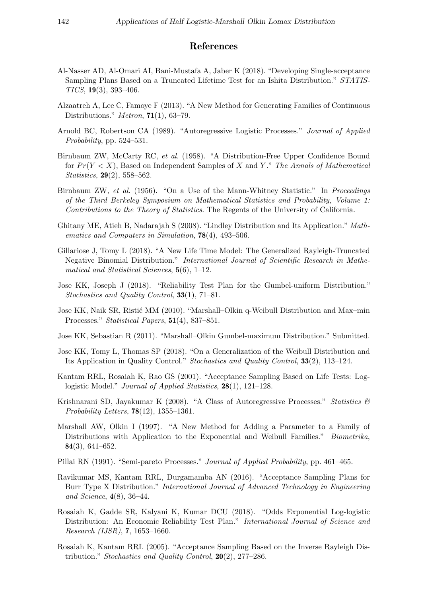## References

- <span id="page-18-16"></span>Al-Nasser AD, Al-Omari AI, Bani-Mustafa A, Jaber K (2018). "Developing Single-acceptance Sampling Plans Based on a Truncated Lifetime Test for an Ishita Distribution." STATIS-TICS, 19(3), 393–406.
- <span id="page-18-1"></span>Alzaatreh A, Lee C, Famoye F (2013). "A New Method for Generating Families of Continuous Distributions." *Metron*,  $71(1)$ , 63–79.
- <span id="page-18-2"></span>Arnold BC, Robertson CA (1989). "Autoregressive Logistic Processes." Journal of Applied Probability, pp. 524–531.
- <span id="page-18-12"></span>Birnbaum ZW, McCarty RC, et al. (1958). "A Distribution-Free Upper Confidence Bound for  $Pr(Y < X)$ , Based on Independent Samples of X and Y." The Annals of Mathematical Statistics, 29(2), 558–562.
- <span id="page-18-11"></span>Birnbaum ZW, et al. (1956). "On a Use of the Mann-Whitney Statistic." In Proceedings of the Third Berkeley Symposium on Mathematical Statistics and Probability, Volume 1: Contributions to the Theory of Statistics. The Regents of the University of California.
- <span id="page-18-17"></span>Ghitany ME, Atieh B, Nadarajah S (2008). "Lindley Distribution and Its Application." Mathematics and Computers in Simulation, 78(4), 493–506.
- <span id="page-18-7"></span>Gillariose J, Tomy L (2018). "A New Life Time Model: The Generalized Rayleigh-Truncated Negative Binomial Distribution." International Journal of Scientific Research in Mathematical and Statistical Sciences, 5(6), 1–12.
- <span id="page-18-8"></span>Jose KK, Joseph J (2018). "Reliability Test Plan for the Gumbel-uniform Distribution." Stochastics and Quality Control, 33(1), 71–81.
- <span id="page-18-4"></span>Jose KK, Naik SR, Ristić MM (2010). "Marshall–Olkin q-Weibull Distribution and Max–min Processes." Statistical Papers, 51(4), 837–851.
- <span id="page-18-9"></span>Jose KK, Sebastian R (2011). "Marshall–Olkin Gumbel-maximum Distribution." Submitted.
- <span id="page-18-10"></span>Jose KK, Tomy L, Thomas SP (2018). "On a Generalization of the Weibull Distribution and Its Application in Quality Control." Stochastics and Quality Control, 33(2), 113–124.
- <span id="page-18-14"></span>Kantam RRL, Rosaiah K, Rao GS (2001). "Acceptance Sampling Based on Life Tests: Loglogistic Model." *Journal of Applied Statistics*, **28**(1), 121–128.
- <span id="page-18-13"></span>Krishnarani SD, Jayakumar K (2008). "A Class of Autoregressive Processes." Statistics  $\mathcal{B}$ Probability Letters,  $78(12)$ ,  $1355-1361$ .
- <span id="page-18-0"></span>Marshall AW, Olkin I (1997). "A New Method for Adding a Parameter to a Family of Distributions with Application to the Exponential and Weibull Families." Biometrika, 84(3), 641–652.
- <span id="page-18-3"></span>Pillai RN (1991). "Semi-pareto Processes." *Journal of Applied Probability*, pp. 461–465.
- <span id="page-18-15"></span>Ravikumar MS, Kantam RRL, Durgamamba AN (2016). "Acceptance Sampling Plans for Burr Type X Distribution." International Journal of Advanced Technology in Engineering and Science, 4(8), 36–44.
- <span id="page-18-5"></span>Rosaiah K, Gadde SR, Kalyani K, Kumar DCU (2018). "Odds Exponential Log-logistic Distribution: An Economic Reliability Test Plan." International Journal of Science and Research (IJSR), 7, 1653–1660.
- <span id="page-18-6"></span>Rosaiah K, Kantam RRL (2005). "Acceptance Sampling Based on the Inverse Rayleigh Distribution." Stochastics and Quality Control,  $20(2)$ , 277–286.